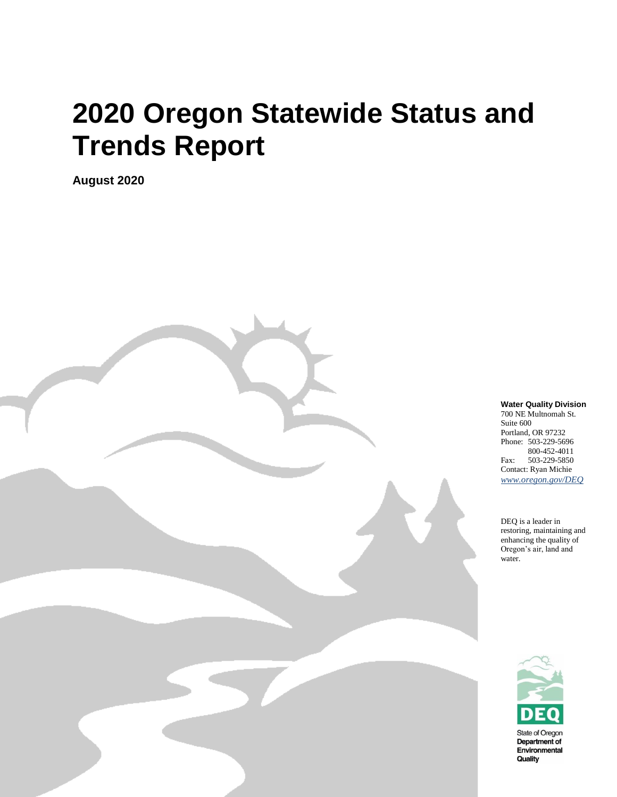# **2020 Oregon Statewide Status and Trends Report**

**August 2020**

**Water Quality Division**

700 NE Multnomah St. Suite 600 Portland, OR 97232 Phone: 503-229-5696 800-452-4011 Fax: 503-229-5850 Contact: Ryan Michie *[www.oregon.gov/DEQ](file://///deq000/Templates/General/www.oregon.gov/DEQ)*

DEQ is a leader in restoring, maintaining and enhancing the quality of Oregon's air, land and water.

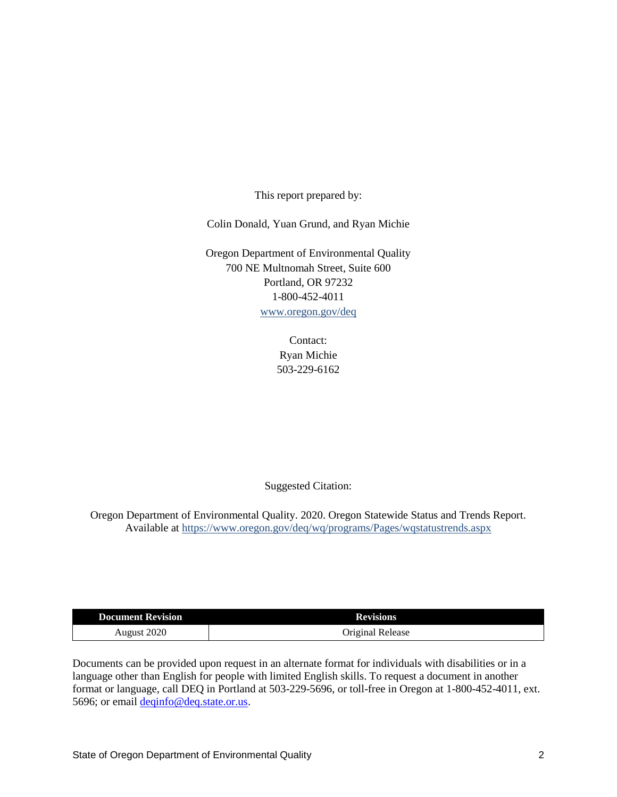This report prepared by:

Colin Donald, Yuan Grund, and Ryan Michie

Oregon Department of Environmental Quality 700 NE Multnomah Street, Suite 600 Portland, OR 97232 1-800-452-4011 [www.oregon.gov/deq](http://www.oregon.gov/deq)

> Contact: Ryan Michie 503-229-6162

Suggested Citation:

Oregon Department of Environmental Quality. 2020. Oregon Statewide Status and Trends Report. Available at<https://www.oregon.gov/deq/wq/programs/Pages/wqstatustrends.aspx>

| <b>Document Revision</b> | <b>Revisions</b> |
|--------------------------|------------------|
| August 2020              | Original Release |

Documents can be provided upon request in an alternate format for individuals with disabilities or in a language other than English for people with limited English skills. To request a document in another format or language, call DEQ in Portland at 503-229-5696, or toll-free in Oregon at 1-800-452-4011, ext. 5696; or email <u>deqinfo@deq.state.or.us</u>.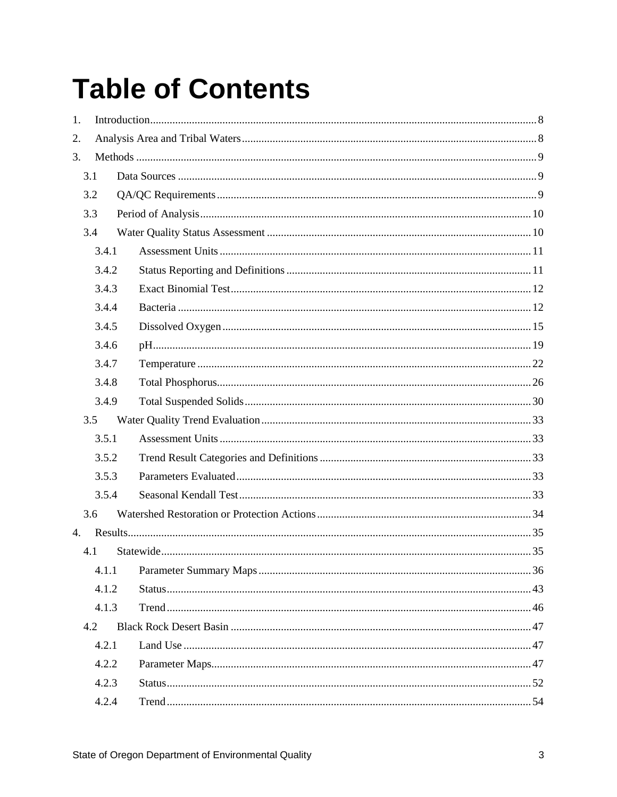# **Table of Contents**

| 1.          |       |  |
|-------------|-------|--|
| 2.          |       |  |
| 3.          |       |  |
| 3.1         |       |  |
| 3.2         |       |  |
| 3.3         |       |  |
| 3.4         |       |  |
|             | 3.4.1 |  |
|             | 3.4.2 |  |
|             | 3.4.3 |  |
|             | 3.4.4 |  |
|             | 3.4.5 |  |
|             | 3.4.6 |  |
|             | 3.4.7 |  |
|             | 3.4.8 |  |
|             | 3.4.9 |  |
| 3.5         |       |  |
|             | 3.5.1 |  |
|             | 3.5.2 |  |
|             | 3.5.3 |  |
|             | 3.5.4 |  |
| 3.6         |       |  |
| $4_{\cdot}$ |       |  |
| 4.1         |       |  |
|             | 4.1.1 |  |
|             | 4.1.2 |  |
|             | 4.1.3 |  |
| 4.2         |       |  |
|             | 4.2.1 |  |
|             | 4.2.2 |  |
|             | 4.2.3 |  |
|             | 4.2.4 |  |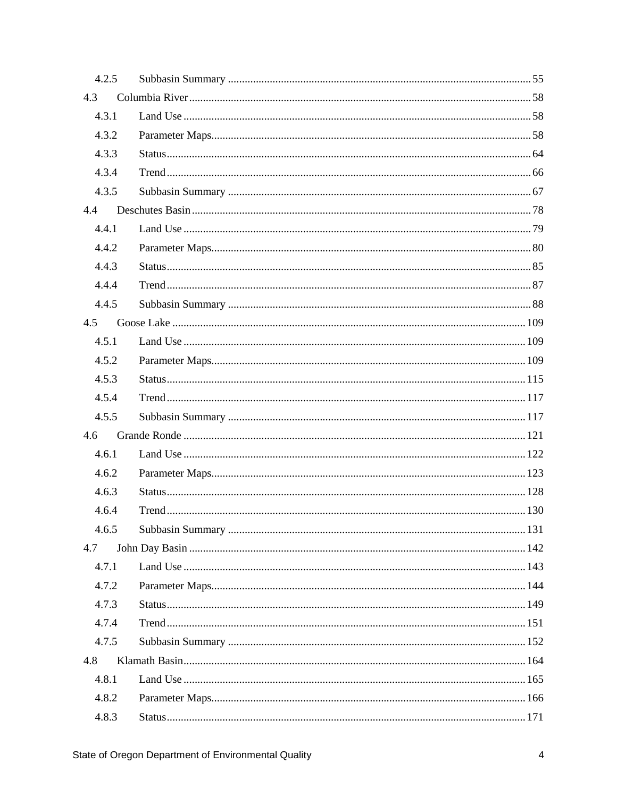| 4.2.5 |  |
|-------|--|
| 4.3   |  |
| 4.3.1 |  |
| 4.3.2 |  |
| 4.3.3 |  |
| 4.3.4 |  |
| 4.3.5 |  |
| 4.4   |  |
| 4.4.1 |  |
| 4.4.2 |  |
| 4.4.3 |  |
| 4.4.4 |  |
| 4.4.5 |  |
| 4.5   |  |
| 4.5.1 |  |
| 4.5.2 |  |
| 4.5.3 |  |
| 4.5.4 |  |
| 4.5.5 |  |
| 4.6   |  |
| 4.6.1 |  |
| 4.6.2 |  |
| 4.6.3 |  |
| 4.6.4 |  |
| 4.6.5 |  |
| 4.7   |  |
| 4.7.1 |  |
| 4.7.2 |  |
| 4.7.3 |  |
| 4.7.4 |  |
| 4.7.5 |  |
| 4.8   |  |
| 4.8.1 |  |
| 4.8.2 |  |
| 4.8.3 |  |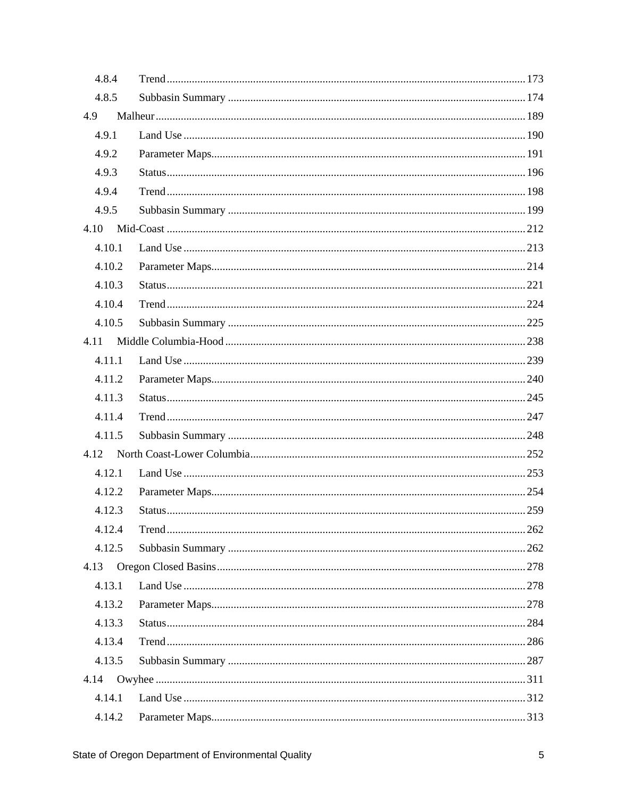| 4.8.4  |  |
|--------|--|
| 4.8.5  |  |
| 4.9    |  |
| 4.9.1  |  |
| 4.9.2  |  |
| 4.9.3  |  |
| 4.9.4  |  |
| 4.9.5  |  |
| 4.10   |  |
| 4.10.1 |  |
| 4.10.2 |  |
| 4.10.3 |  |
| 4.10.4 |  |
| 4.10.5 |  |
| 4.11   |  |
| 4.11.1 |  |
| 4.11.2 |  |
| 4.11.3 |  |
| 4.11.4 |  |
| 4.11.5 |  |
| 4.12   |  |
| 4.12.1 |  |
| 4.12.2 |  |
| 4.12.3 |  |
| 4.12.4 |  |
| 4.12.5 |  |
| 4.13   |  |
| 4.13.1 |  |
| 4.13.2 |  |
| 4.13.3 |  |
| 4.13.4 |  |
| 4.13.5 |  |
| 4.14   |  |
| 4.14.1 |  |
| 4.14.2 |  |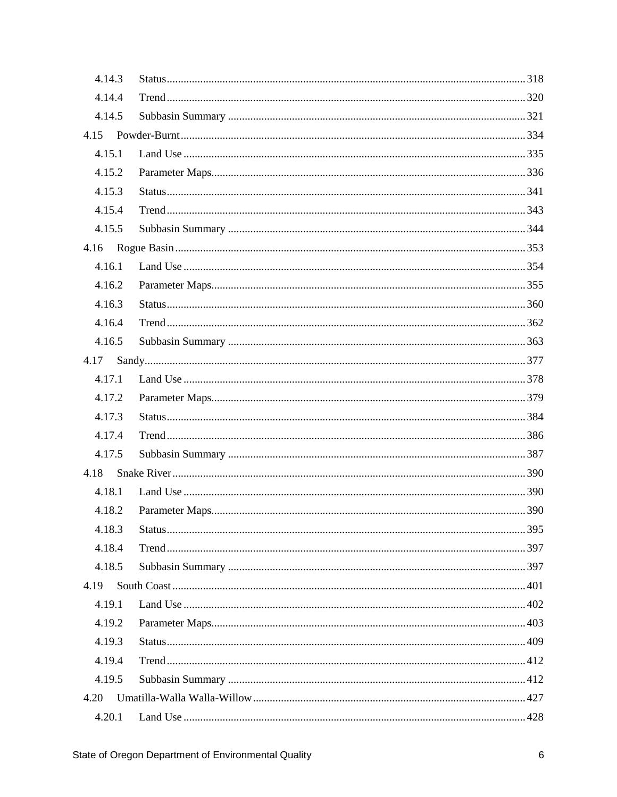| 4.14.3 |  |
|--------|--|
| 4.14.4 |  |
| 4.14.5 |  |
|        |  |
| 4.15.1 |  |
| 4.15.2 |  |
| 4.15.3 |  |
| 4.15.4 |  |
| 4.15.5 |  |
|        |  |
| 4.16.1 |  |
| 4.16.2 |  |
| 4.16.3 |  |
| 4.16.4 |  |
| 4.16.5 |  |
| 4.17   |  |
| 4.17.1 |  |
| 4.17.2 |  |
| 4.17.3 |  |
| 4.17.4 |  |
| 4.17.5 |  |
| 4.18   |  |
| 4.18.1 |  |
| 4.18.2 |  |
| 4.18.3 |  |
| 4.18.4 |  |
| 4.18.5 |  |
| 4.19   |  |
| 4.19.1 |  |
| 4.19.2 |  |
| 4.19.3 |  |
| 4.19.4 |  |
| 4.19.5 |  |
| 4.20   |  |
| 4.20.1 |  |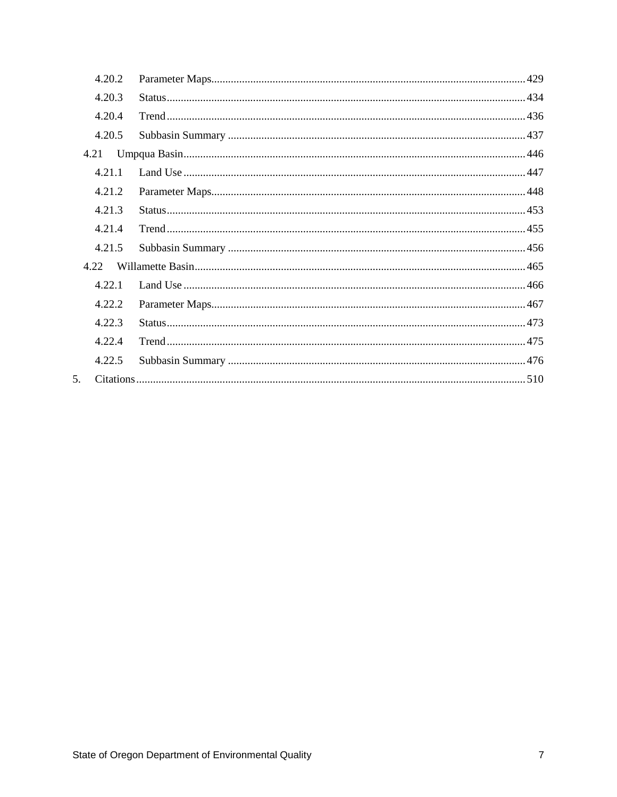|                | 4.20.2 |  |
|----------------|--------|--|
|                | 4.20.3 |  |
|                | 4.20.4 |  |
|                | 4.20.5 |  |
| 4.21           |        |  |
|                | 4.21.1 |  |
|                | 4.21.2 |  |
|                | 4.21.3 |  |
|                | 4.21.4 |  |
|                | 4.21.5 |  |
|                | 4.22   |  |
|                | 4.22.1 |  |
|                | 4.22.2 |  |
|                | 4.22.3 |  |
|                | 4.22.4 |  |
|                | 4.22.5 |  |
| 5 <sub>1</sub> |        |  |
|                |        |  |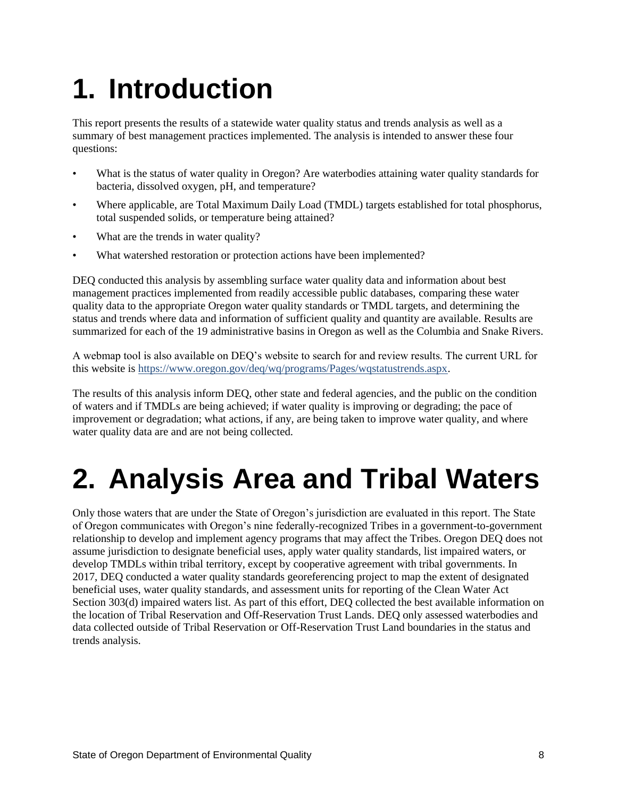# <span id="page-7-0"></span>**1. Introduction**

This report presents the results of a statewide water quality status and trends analysis as well as a summary of best management practices implemented. The analysis is intended to answer these four questions:

- What is the status of water quality in Oregon? Are waterbodies attaining water quality standards for bacteria, dissolved oxygen, pH, and temperature?
- Where applicable, are Total Maximum Daily Load (TMDL) targets established for total phosphorus, total suspended solids, or temperature being attained?
- What are the trends in water quality?
- What watershed restoration or protection actions have been implemented?

DEQ conducted this analysis by assembling surface water quality data and information about best management practices implemented from readily accessible public databases, comparing these water quality data to the appropriate Oregon water quality standards or TMDL targets, and determining the status and trends where data and information of sufficient quality and quantity are available. Results are summarized for each of the 19 administrative basins in Oregon as well as the Columbia and Snake Rivers.

A webmap tool is also available on DEQ's website to search for and review results. The current URL for this website is [https://www.oregon.gov/deq/wq/programs/Pages/wqstatustrends.aspx.](https://www.oregon.gov/deq/wq/programs/Pages/wqstatustrends.aspx)

The results of this analysis inform DEQ, other state and federal agencies, and the public on the condition of waters and if TMDLs are being achieved; if water quality is improving or degrading; the pace of improvement or degradation; what actions, if any, are being taken to improve water quality, and where water quality data are and are not being collected.

# <span id="page-7-1"></span>**2. Analysis Area and Tribal Waters**

Only those waters that are under the State of Oregon's jurisdiction are evaluated in this report. The State of Oregon communicates with Oregon's nine federally-recognized Tribes in a government-to-government relationship to develop and implement agency programs that may affect the Tribes. Oregon DEQ does not assume jurisdiction to designate beneficial uses, apply water quality standards, list impaired waters, or develop TMDLs within tribal territory, except by cooperative agreement with tribal governments. In 2017, DEQ conducted a water quality standards georeferencing project to map the extent of designated beneficial uses, water quality standards, and assessment units for reporting of the Clean Water Act Section 303(d) impaired waters list. As part of this effort, DEQ collected the best available information on the location of Tribal Reservation and Off-Reservation Trust Lands. DEQ only assessed waterbodies and data collected outside of Tribal Reservation or Off-Reservation Trust Land boundaries in the status and trends analysis.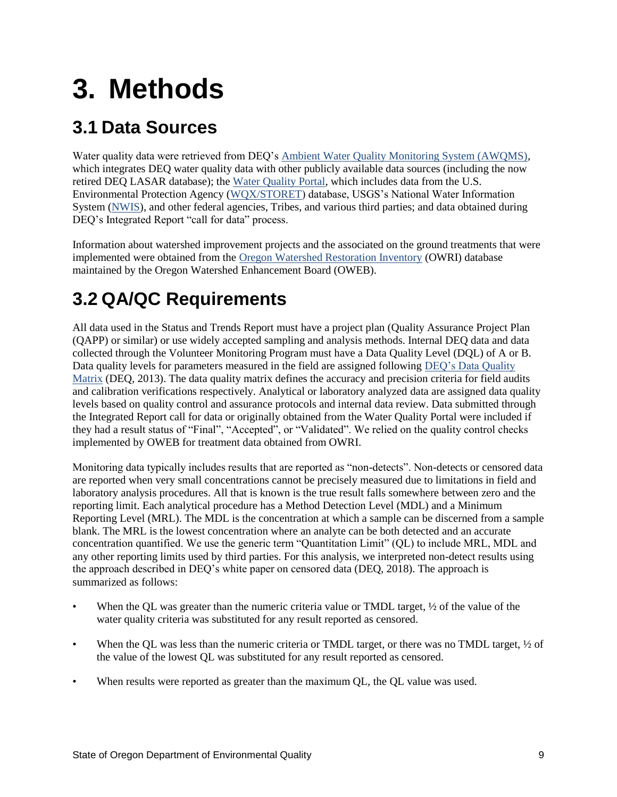# <span id="page-8-0"></span>**3. Methods**

# <span id="page-8-1"></span>**3.1 Data Sources**

Water quality data were retrieved from DEQ's [Ambient Water Quality Monitoring System \(AWQMS\),](https://www.oregon.gov/deq/wq/pages/wqdata.aspx) which integrates DEQ water quality data with other publicly available data sources (including the now retired DEQ LASAR database); the [Water Quality Portal,](https://www.waterqualitydata.us/) which includes data from the U.S. Environmental Protection Agency [\(WQX/STORET\)](https://www.epa.gov/waterdata/water-quality-data-wqx) database, USGS's National Water Information System [\(NWIS\)](https://waterdata.usgs.gov/nwis), and other federal agencies, Tribes, and various third parties; and data obtained during DEQ's Integrated Report "call for data" process.

Information about watershed improvement projects and the associated on the ground treatments that were implemented were obtained from the [Oregon Watershed Restoration Inventory](https://www.oregon.gov/oweb/data-reporting/Pages/owri.aspx) (OWRI) database maintained by the Oregon Watershed Enhancement Board (OWEB).

# <span id="page-8-2"></span>**3.2 QA/QC Requirements**

All data used in the Status and Trends Report must have a project plan (Quality Assurance Project Plan (QAPP) or similar) or use widely accepted sampling and analysis methods. Internal DEQ data and data collected through the Volunteer Monitoring Program must have a Data Quality Level (DQL) of A or B. Data quality levels for parameters measured in the field are assigned following [DEQ's Data Quality](http://www.oregon.gov/deq/FilterDocs/DataQualMatrix.pdf)  [Matrix](http://www.oregon.gov/deq/FilterDocs/DataQualMatrix.pdf) (DEQ, 2013). The data quality matrix defines the accuracy and precision criteria for field audits and calibration verifications respectively. Analytical or laboratory analyzed data are assigned data quality levels based on quality control and assurance protocols and internal data review. Data submitted through the Integrated Report call for data or originally obtained from the Water Quality Portal were included if they had a result status of "Final", "Accepted", or "Validated". We relied on the quality control checks implemented by OWEB for treatment data obtained from OWRI.

Monitoring data typically includes results that are reported as "non-detects". Non-detects or censored data are reported when very small concentrations cannot be precisely measured due to limitations in field and laboratory analysis procedures. All that is known is the true result falls somewhere between zero and the reporting limit. Each analytical procedure has a Method Detection Level (MDL) and a Minimum Reporting Level (MRL). The MDL is the concentration at which a sample can be discerned from a sample blank. The MRL is the lowest concentration where an analyte can be both detected and an accurate concentration quantified. We use the generic term "Quantitation Limit" (QL) to include MRL, MDL and any other reporting limits used by third parties. For this analysis, we interpreted non-detect results using the approach described in DEQ's white paper on censored data (DEQ, 2018). The approach is summarized as follows:

- When the QL was greater than the numeric criteria value or TMDL target,  $\frac{1}{2}$  of the value of the water quality criteria was substituted for any result reported as censored.
- When the OL was less than the numeric criteria or TMDL target, or there was no TMDL target,  $\frac{1}{2}$  of the value of the lowest QL was substituted for any result reported as censored.
- When results were reported as greater than the maximum QL, the QL value was used.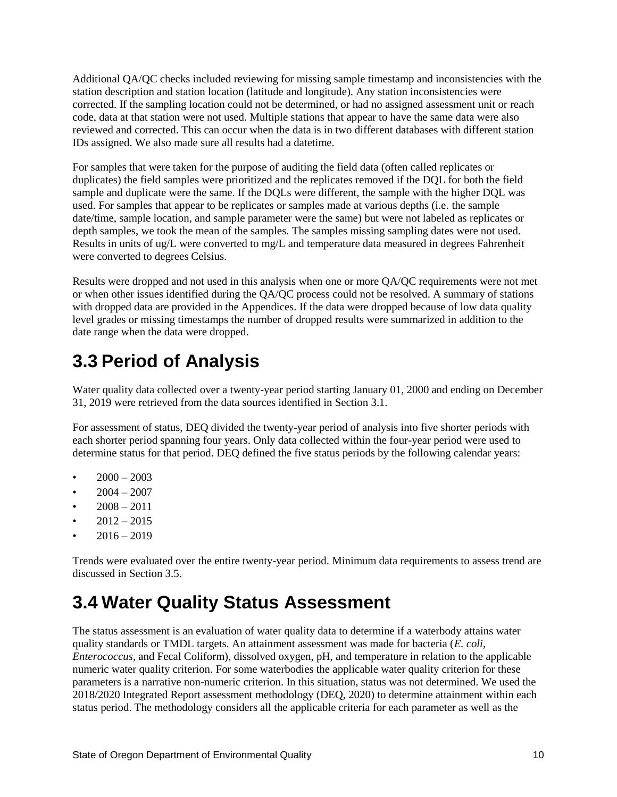Additional QA/QC checks included reviewing for missing sample timestamp and inconsistencies with the station description and station location (latitude and longitude). Any station inconsistencies were corrected. If the sampling location could not be determined, or had no assigned assessment unit or reach code, data at that station were not used. Multiple stations that appear to have the same data were also reviewed and corrected. This can occur when the data is in two different databases with different station IDs assigned. We also made sure all results had a datetime.

For samples that were taken for the purpose of auditing the field data (often called replicates or duplicates) the field samples were prioritized and the replicates removed if the DQL for both the field sample and duplicate were the same. If the DQLs were different, the sample with the higher DQL was used. For samples that appear to be replicates or samples made at various depths (i.e. the sample date/time, sample location, and sample parameter were the same) but were not labeled as replicates or depth samples, we took the mean of the samples. The samples missing sampling dates were not used. Results in units of ug/L were converted to mg/L and temperature data measured in degrees Fahrenheit were converted to degrees Celsius.

Results were dropped and not used in this analysis when one or more QA/QC requirements were not met or when other issues identified during the QA/QC process could not be resolved. A summary of stations with dropped data are provided in the Appendices. If the data were dropped because of low data quality level grades or missing timestamps the number of dropped results were summarized in addition to the date range when the data were dropped.

# <span id="page-9-0"></span>**3.3 Period of Analysis**

Water quality data collected over a twenty-year period starting January 01, 2000 and ending on December 31, 2019 were retrieved from the data sources identified in Section 3.1.

For assessment of status, DEQ divided the twenty-year period of analysis into five shorter periods with each shorter period spanning four years. Only data collected within the four-year period were used to determine status for that period. DEQ defined the five status periods by the following calendar years:

- $2000 2003$
- $2004 2007$
- $2008 2011$
- $2012 2015$
- $2016 2019$

Trends were evaluated over the entire twenty-year period. Minimum data requirements to assess trend are discussed in Section 3.5.

# <span id="page-9-1"></span>**3.4 Water Quality Status Assessment**

The status assessment is an evaluation of water quality data to determine if a waterbody attains water quality standards or TMDL targets. An attainment assessment was made for bacteria (*E. coli*, *Enterococcus*, and Fecal Coliform), dissolved oxygen, pH, and temperature in relation to the applicable numeric water quality criterion. For some waterbodies the applicable water quality criterion for these parameters is a narrative non-numeric criterion. In this situation, status was not determined. We used the 2018/2020 Integrated Report assessment methodology (DEQ, 2020) to determine attainment within each status period. The methodology considers all the applicable criteria for each parameter as well as the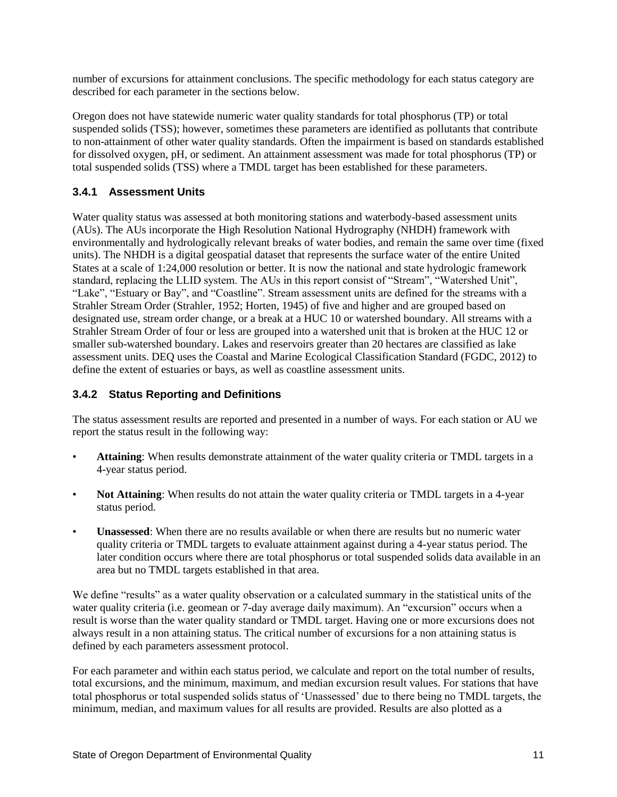number of excursions for attainment conclusions. The specific methodology for each status category are described for each parameter in the sections below.

Oregon does not have statewide numeric water quality standards for total phosphorus (TP) or total suspended solids (TSS); however, sometimes these parameters are identified as pollutants that contribute to non-attainment of other water quality standards. Often the impairment is based on standards established for dissolved oxygen, pH, or sediment. An attainment assessment was made for total phosphorus (TP) or total suspended solids (TSS) where a TMDL target has been established for these parameters.

## <span id="page-10-0"></span>**3.4.1 Assessment Units**

Water quality status was assessed at both monitoring stations and waterbody-based assessment units (AUs). The AUs incorporate the High Resolution National Hydrography (NHDH) framework with environmentally and hydrologically relevant breaks of water bodies, and remain the same over time (fixed units). The NHDH is a digital geospatial dataset that represents the surface water of the entire United States at a scale of 1:24,000 resolution or better. It is now the national and state hydrologic framework standard, replacing the LLID system. The AUs in this report consist of "Stream", "Watershed Unit", "Lake", "Estuary or Bay", and "Coastline". Stream assessment units are defined for the streams with a Strahler Stream Order (Strahler, 1952; Horten, 1945) of five and higher and are grouped based on designated use, stream order change, or a break at a HUC 10 or watershed boundary. All streams with a Strahler Stream Order of four or less are grouped into a watershed unit that is broken at the HUC 12 or smaller sub-watershed boundary. Lakes and reservoirs greater than 20 hectares are classified as lake assessment units. DEQ uses the Coastal and Marine Ecological Classification Standard (FGDC, 2012) to define the extent of estuaries or bays, as well as coastline assessment units.

## <span id="page-10-1"></span>**3.4.2 Status Reporting and Definitions**

The status assessment results are reported and presented in a number of ways. For each station or AU we report the status result in the following way:

- **Attaining**: When results demonstrate attainment of the water quality criteria or TMDL targets in a 4-year status period.
- **Not Attaining:** When results do not attain the water quality criteria or TMDL targets in a 4-year status period.
- **Unassessed**: When there are no results available or when there are results but no numeric water quality criteria or TMDL targets to evaluate attainment against during a 4-year status period. The later condition occurs where there are total phosphorus or total suspended solids data available in an area but no TMDL targets established in that area.

We define "results" as a water quality observation or a calculated summary in the statistical units of the water quality criteria (i.e. geomean or 7-day average daily maximum). An "excursion" occurs when a result is worse than the water quality standard or TMDL target. Having one or more excursions does not always result in a non attaining status. The critical number of excursions for a non attaining status is defined by each parameters assessment protocol.

For each parameter and within each status period, we calculate and report on the total number of results, total excursions, and the minimum, maximum, and median excursion result values. For stations that have total phosphorus or total suspended solids status of 'Unassessed' due to there being no TMDL targets, the minimum, median, and maximum values for all results are provided. Results are also plotted as a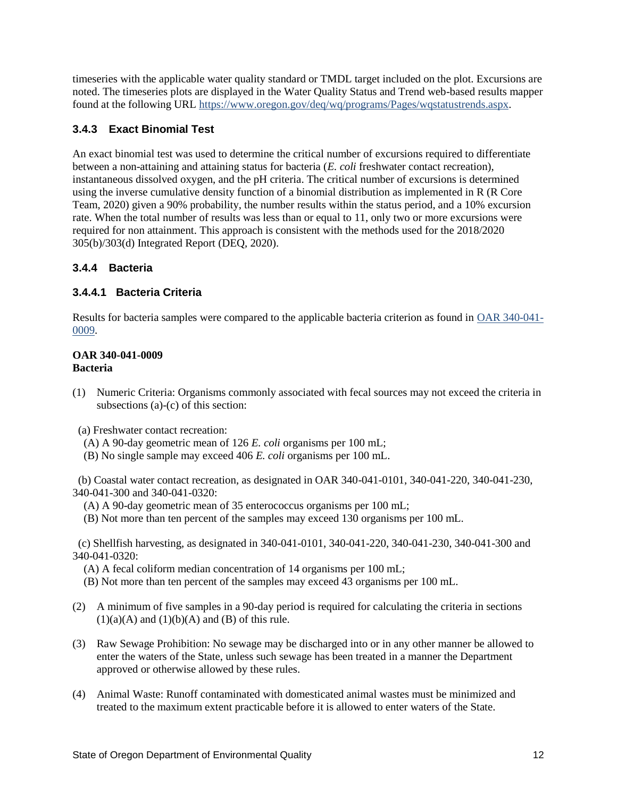timeseries with the applicable water quality standard or TMDL target included on the plot. Excursions are noted. The timeseries plots are displayed in the Water Quality Status and Trend web-based results mapper found at the following URL [https://www.oregon.gov/deq/wq/programs/Pages/wqstatustrends.aspx.](https://www.oregon.gov/deq/wq/programs/Pages/wqstatustrends.aspx)

# <span id="page-11-0"></span>**3.4.3 Exact Binomial Test**

An exact binomial test was used to determine the critical number of excursions required to differentiate between a non-attaining and attaining status for bacteria (*E. coli* freshwater contact recreation), instantaneous dissolved oxygen, and the pH criteria. The critical number of excursions is determined using the inverse cumulative density function of a binomial distribution as implemented in R (R Core Team, 2020) given a 90% probability, the number results within the status period, and a 10% excursion rate. When the total number of results was less than or equal to 11, only two or more excursions were required for non attainment. This approach is consistent with the methods used for the 2018/2020 305(b)/303(d) Integrated Report (DEQ, 2020).

# <span id="page-11-1"></span>**3.4.4 Bacteria**

# **3.4.4.1 Bacteria Criteria**

Results for bacteria samples were compared to the applicable bacteria criterion as found in [OAR 340-041-](https://secure.sos.state.or.us/oard/viewSingleRule.action;JSESSIONID_OARD=Q--AbU9sI2gNpiU9aa_3IO93qbFAoGOHlZ2WHGSe8IsE0OGtWMuS!568786841?ruleVrsnRsn=68695) [0009.](https://secure.sos.state.or.us/oard/viewSingleRule.action;JSESSIONID_OARD=Q--AbU9sI2gNpiU9aa_3IO93qbFAoGOHlZ2WHGSe8IsE0OGtWMuS!568786841?ruleVrsnRsn=68695)

#### **OAR 340-041-0009 Bacteria**

- (1) Numeric Criteria: Organisms commonly associated with fecal sources may not exceed the criteria in subsections (a)-(c) of this section:
- (a) Freshwater contact recreation:
- (A) A 90-day geometric mean of 126 *E. coli* organisms per 100 mL;
- (B) No single sample may exceed 406 *E. coli* organisms per 100 mL.

 (b) Coastal water contact recreation, as designated in OAR 340-041-0101, 340-041-220, 340-041-230, 340-041-300 and 340-041-0320:

- (A) A 90-day geometric mean of 35 enterococcus organisms per 100 mL;
- (B) Not more than ten percent of the samples may exceed 130 organisms per 100 mL.

 (c) Shellfish harvesting, as designated in 340-041-0101, 340-041-220, 340-041-230, 340-041-300 and 340-041-0320:

(A) A fecal coliform median concentration of 14 organisms per 100 mL;

- (B) Not more than ten percent of the samples may exceed 43 organisms per 100 mL.
- (2) A minimum of five samples in a 90-day period is required for calculating the criteria in sections  $(1)(a)(A)$  and  $(1)(b)(A)$  and  $(B)$  of this rule.
- (3) Raw Sewage Prohibition: No sewage may be discharged into or in any other manner be allowed to enter the waters of the State, unless such sewage has been treated in a manner the Department approved or otherwise allowed by these rules.
- (4) Animal Waste: Runoff contaminated with domesticated animal wastes must be minimized and treated to the maximum extent practicable before it is allowed to enter waters of the State.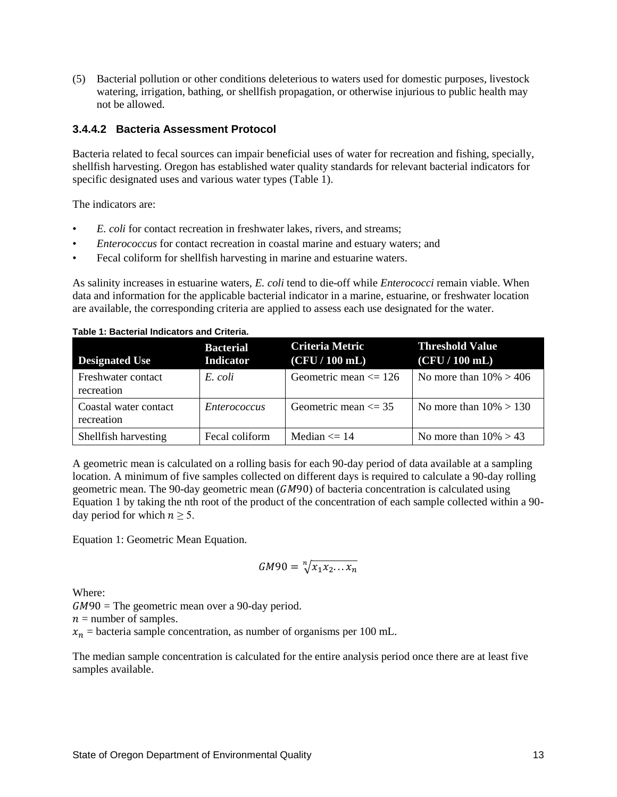(5) Bacterial pollution or other conditions deleterious to waters used for domestic purposes, livestock watering, irrigation, bathing, or shellfish propagation, or otherwise injurious to public health may not be allowed.

#### **3.4.4.2 Bacteria Assessment Protocol**

Bacteria related to fecal sources can impair beneficial uses of water for recreation and fishing, specially, shellfish harvesting. Oregon has established water quality standards for relevant bacterial indicators for specific designated uses and various water types (Table 1).

The indicators are:

- *E. coli* for contact recreation in freshwater lakes, rivers, and streams;
- *Enterococcus* for contact recreation in coastal marine and estuary waters; and
- Fecal coliform for shellfish harvesting in marine and estuarine waters.

As salinity increases in estuarine waters, *E. coli* tend to die-off while *Enterococci* remain viable. When data and information for the applicable bacterial indicator in a marine, estuarine, or freshwater location are available, the corresponding criteria are applied to assess each use designated for the water.

**Table 1: Bacterial Indicators and Criteria.**

| <b>Designated Use</b>               | <b>Bacterial</b><br><b>Indicator</b> | Criteria Metric<br>(CFU/100 mL) | <b>Threshold Value</b><br>(CFU/100 mL) |
|-------------------------------------|--------------------------------------|---------------------------------|----------------------------------------|
| Freshwater contact<br>recreation    | E. coli                              | Geometric mean $\leq$ 126       | No more than $10\% > 406$              |
| Coastal water contact<br>recreation | <i>Enterococcus</i>                  | Geometric mean $\leq$ 35        | No more than $10\% > 130$              |
| Shellfish harvesting                | Fecal coliform                       | Median $\leq 14$                | No more than $10\% > 43$               |

A geometric mean is calculated on a rolling basis for each 90-day period of data available at a sampling location. A minimum of five samples collected on different days is required to calculate a 90-day rolling geometric mean. The 90-day geometric mean  $(GM90)$  of bacteria concentration is calculated using Equation 1 by taking the nth root of the product of the concentration of each sample collected within a 90 day period for which  $n \geq 5$ .

Equation 1: Geometric Mean Equation.

$$
GM90 = \sqrt[n]{x_1 x_2 \dots x_n}
$$

Where:

 $GM90$  = The geometric mean over a 90-day period.

 $n =$  number of samples.

 $x_n$  = bacteria sample concentration, as number of organisms per 100 mL.

The median sample concentration is calculated for the entire analysis period once there are at least five samples available.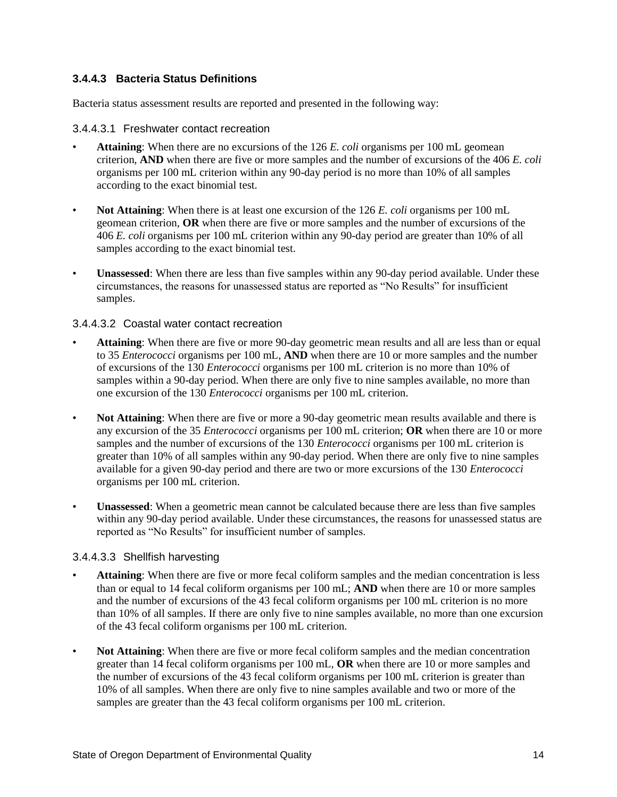# **3.4.4.3 Bacteria Status Definitions**

Bacteria status assessment results are reported and presented in the following way:

#### 3.4.4.3.1 Freshwater contact recreation

- **Attaining**: When there are no excursions of the 126 *E. coli* organisms per 100 mL geomean criterion, **AND** when there are five or more samples and the number of excursions of the 406 *E. coli* organisms per 100 mL criterion within any 90-day period is no more than 10% of all samples according to the exact binomial test.
- **Not Attaining**: When there is at least one excursion of the 126 *E. coli* organisms per 100 mL geomean criterion, **OR** when there are five or more samples and the number of excursions of the 406 *E. coli* organisms per 100 mL criterion within any 90-day period are greater than 10% of all samples according to the exact binomial test.
- **Unassessed**: When there are less than five samples within any 90-day period available. Under these circumstances, the reasons for unassessed status are reported as "No Results" for insufficient samples.

#### 3.4.4.3.2 Coastal water contact recreation

- **Attaining**: When there are five or more 90-day geometric mean results and all are less than or equal to 35 *Enterococci* organisms per 100 mL, **AND** when there are 10 or more samples and the number of excursions of the 130 *Enterococci* organisms per 100 mL criterion is no more than 10% of samples within a 90-day period. When there are only five to nine samples available, no more than one excursion of the 130 *Enterococci* organisms per 100 mL criterion.
- **Not Attaining**: When there are five or more a 90-day geometric mean results available and there is any excursion of the 35 *Enterococci* organisms per 100 mL criterion; **OR** when there are 10 or more samples and the number of excursions of the 130 *Enterococci* organisms per 100 mL criterion is greater than 10% of all samples within any 90-day period. When there are only five to nine samples available for a given 90-day period and there are two or more excursions of the 130 *Enterococci* organisms per 100 mL criterion.
- **Unassessed**: When a geometric mean cannot be calculated because there are less than five samples within any 90-day period available. Under these circumstances, the reasons for unassessed status are reported as "No Results" for insufficient number of samples.

#### 3.4.4.3.3 Shellfish harvesting

- **Attaining**: When there are five or more fecal coliform samples and the median concentration is less than or equal to 14 fecal coliform organisms per 100 mL; **AND** when there are 10 or more samples and the number of excursions of the 43 fecal coliform organisms per 100 mL criterion is no more than 10% of all samples. If there are only five to nine samples available, no more than one excursion of the 43 fecal coliform organisms per 100 mL criterion.
- **Not Attaining**: When there are five or more fecal coliform samples and the median concentration greater than 14 fecal coliform organisms per 100 mL, **OR** when there are 10 or more samples and the number of excursions of the 43 fecal coliform organisms per 100 mL criterion is greater than 10% of all samples. When there are only five to nine samples available and two or more of the samples are greater than the 43 fecal coliform organisms per 100 mL criterion.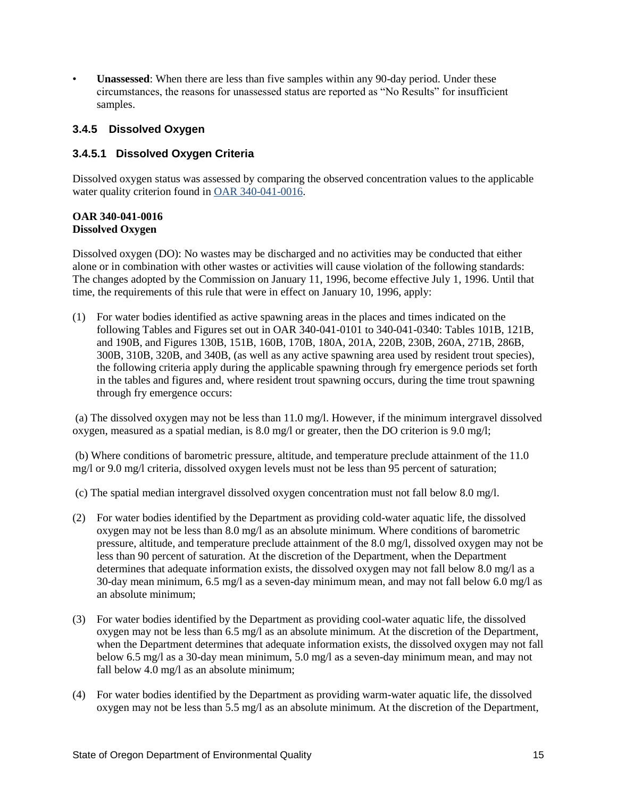• **Unassessed**: When there are less than five samples within any 90-day period. Under these circumstances, the reasons for unassessed status are reported as "No Results" for insufficient samples.

#### <span id="page-14-0"></span>**3.4.5 Dissolved Oxygen**

#### **3.4.5.1 Dissolved Oxygen Criteria**

Dissolved oxygen status was assessed by comparing the observed concentration values to the applicable water quality criterion found in [OAR 340-041-0016.](https://secure.sos.state.or.us/oard/viewSingleRule.action;JSESSIONID_OARD=Q--AbU9sI2gNpiU9aa_3IO93qbFAoGOHlZ2WHGSe8IsE0OGtWMuS!568786841?ruleVrsnRsn=68706)

#### **OAR 340-041-0016 Dissolved Oxygen**

Dissolved oxygen (DO): No wastes may be discharged and no activities may be conducted that either alone or in combination with other wastes or activities will cause violation of the following standards: The changes adopted by the Commission on January 11, 1996, become effective July 1, 1996. Until that time, the requirements of this rule that were in effect on January 10, 1996, apply:

(1) For water bodies identified as active spawning areas in the places and times indicated on the following Tables and Figures set out in OAR 340-041-0101 to 340-041-0340: Tables 101B, 121B, and 190B, and Figures 130B, 151B, 160B, 170B, 180A, 201A, 220B, 230B, 260A, 271B, 286B, 300B, 310B, 320B, and 340B, (as well as any active spawning area used by resident trout species), the following criteria apply during the applicable spawning through fry emergence periods set forth in the tables and figures and, where resident trout spawning occurs, during the time trout spawning through fry emergence occurs:

(a) The dissolved oxygen may not be less than 11.0 mg/l. However, if the minimum intergravel dissolved oxygen, measured as a spatial median, is 8.0 mg/l or greater, then the DO criterion is 9.0 mg/l;

(b) Where conditions of barometric pressure, altitude, and temperature preclude attainment of the 11.0 mg/l or 9.0 mg/l criteria, dissolved oxygen levels must not be less than 95 percent of saturation;

(c) The spatial median intergravel dissolved oxygen concentration must not fall below 8.0 mg/l.

- (2) For water bodies identified by the Department as providing cold-water aquatic life, the dissolved oxygen may not be less than 8.0 mg/l as an absolute minimum. Where conditions of barometric pressure, altitude, and temperature preclude attainment of the 8.0 mg/l, dissolved oxygen may not be less than 90 percent of saturation. At the discretion of the Department, when the Department determines that adequate information exists, the dissolved oxygen may not fall below 8.0 mg/l as a 30-day mean minimum, 6.5 mg/l as a seven-day minimum mean, and may not fall below 6.0 mg/l as an absolute minimum;
- (3) For water bodies identified by the Department as providing cool-water aquatic life, the dissolved oxygen may not be less than 6.5 mg/l as an absolute minimum. At the discretion of the Department, when the Department determines that adequate information exists, the dissolved oxygen may not fall below 6.5 mg/l as a 30-day mean minimum, 5.0 mg/l as a seven-day minimum mean, and may not fall below 4.0 mg/l as an absolute minimum;
- (4) For water bodies identified by the Department as providing warm-water aquatic life, the dissolved oxygen may not be less than 5.5 mg/l as an absolute minimum. At the discretion of the Department,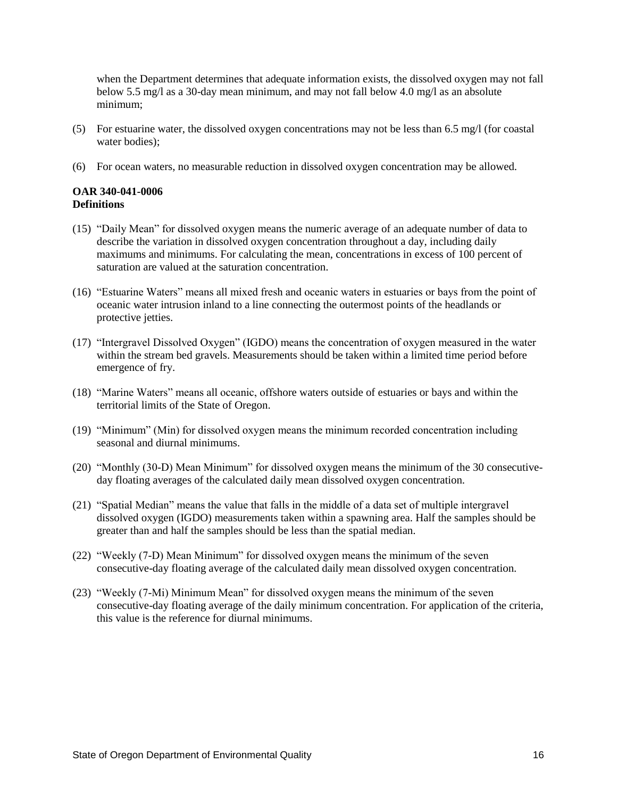when the Department determines that adequate information exists, the dissolved oxygen may not fall below 5.5 mg/l as a 30-day mean minimum, and may not fall below 4.0 mg/l as an absolute minimum;

- (5) For estuarine water, the dissolved oxygen concentrations may not be less than 6.5 mg/l (for coastal water bodies);
- (6) For ocean waters, no measurable reduction in dissolved oxygen concentration may be allowed.

#### **OAR 340-041-0006 Definitions**

- (15) "Daily Mean" for dissolved oxygen means the numeric average of an adequate number of data to describe the variation in dissolved oxygen concentration throughout a day, including daily maximums and minimums. For calculating the mean, concentrations in excess of 100 percent of saturation are valued at the saturation concentration.
- (16) "Estuarine Waters" means all mixed fresh and oceanic waters in estuaries or bays from the point of oceanic water intrusion inland to a line connecting the outermost points of the headlands or protective jetties.
- (17) "Intergravel Dissolved Oxygen" (IGDO) means the concentration of oxygen measured in the water within the stream bed gravels. Measurements should be taken within a limited time period before emergence of fry.
- (18) "Marine Waters" means all oceanic, offshore waters outside of estuaries or bays and within the territorial limits of the State of Oregon.
- (19) "Minimum" (Min) for dissolved oxygen means the minimum recorded concentration including seasonal and diurnal minimums.
- (20) "Monthly (30-D) Mean Minimum" for dissolved oxygen means the minimum of the 30 consecutiveday floating averages of the calculated daily mean dissolved oxygen concentration.
- (21) "Spatial Median" means the value that falls in the middle of a data set of multiple intergravel dissolved oxygen (IGDO) measurements taken within a spawning area. Half the samples should be greater than and half the samples should be less than the spatial median.
- (22) "Weekly (7-D) Mean Minimum" for dissolved oxygen means the minimum of the seven consecutive-day floating average of the calculated daily mean dissolved oxygen concentration.
- (23) "Weekly (7-Mi) Minimum Mean" for dissolved oxygen means the minimum of the seven consecutive-day floating average of the daily minimum concentration. For application of the criteria, this value is the reference for diurnal minimums.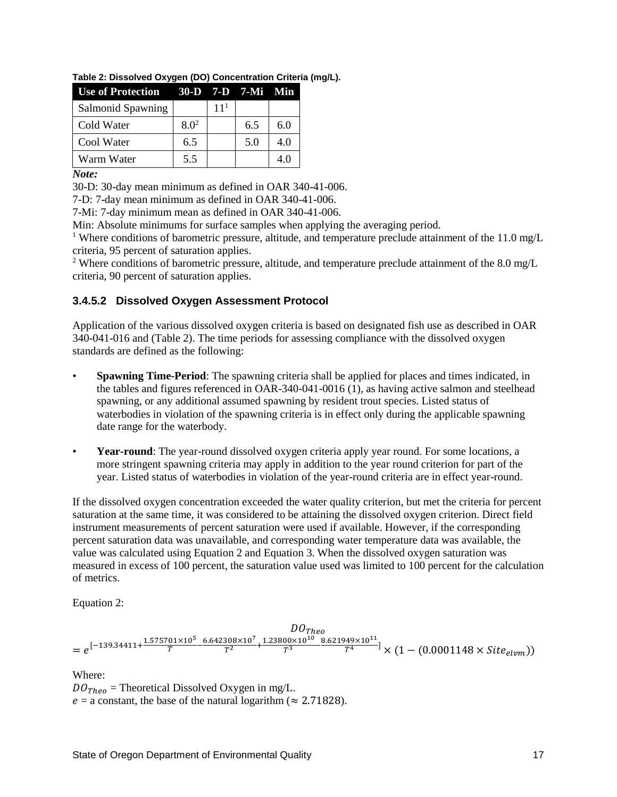| Use of Protection 30-D 7-D 7-Mi Min |         |                 |     |     |
|-------------------------------------|---------|-----------------|-----|-----|
| Salmonid Spawning                   |         | 11 <sup>1</sup> |     |     |
| Cold Water                          | $8.0^2$ |                 | 6.5 | 6.0 |
| Cool Water                          | 6.5     |                 | 5.0 | 4.0 |
| Warm Water                          | 5.5     |                 |     | 4.0 |

**Table 2: Dissolved Oxygen (DO) Concentration Criteria (mg/L).**

*Note:*

30-D: 30-day mean minimum as defined in OAR 340-41-006.

7-D: 7-day mean minimum as defined in OAR 340-41-006.

7-Mi: 7-day minimum mean as defined in OAR 340-41-006.

Min: Absolute minimums for surface samples when applying the averaging period.

<sup>1</sup> Where conditions of barometric pressure, altitude, and temperature preclude attainment of the 11.0 mg/L criteria, 95 percent of saturation applies.

<sup>2</sup> Where conditions of barometric pressure, altitude, and temperature preclude attainment of the 8.0 mg/L criteria, 90 percent of saturation applies.

#### **3.4.5.2 Dissolved Oxygen Assessment Protocol**

Application of the various dissolved oxygen criteria is based on designated fish use as described in OAR 340-041-016 and (Table 2). The time periods for assessing compliance with the dissolved oxygen standards are defined as the following:

- **Spawning Time-Period**: The spawning criteria shall be applied for places and times indicated, in the tables and figures referenced in OAR-340-041-0016 (1), as having active salmon and steelhead spawning, or any additional assumed spawning by resident trout species. Listed status of waterbodies in violation of the spawning criteria is in effect only during the applicable spawning date range for the waterbody.
- **Year-round**: The year-round dissolved oxygen criteria apply year round. For some locations, a more stringent spawning criteria may apply in addition to the year round criterion for part of the year. Listed status of waterbodies in violation of the year-round criteria are in effect year-round.

If the dissolved oxygen concentration exceeded the water quality criterion, but met the criteria for percent saturation at the same time, it was considered to be attaining the dissolved oxygen criterion. Direct field instrument measurements of percent saturation were used if available. However, if the corresponding percent saturation data was unavailable, and corresponding water temperature data was available, the value was calculated using Equation 2 and Equation 3. When the dissolved oxygen saturation was measured in excess of 100 percent, the saturation value used was limited to 100 percent for the calculation of metrics.

Equation 2:

$$
DOTheo
$$
  
=  $e^{[-139.34411 + \frac{1.575701 \times 10^5}{T} - \frac{6.642308 \times 10^7}{T^2} + \frac{1.23800 \times 10^{10}}{T^3} - \frac{8.621949 \times 10^{11}}{T^4}] \times (1 - (0.0001148 \times Site_{elvm}))$ 

Where:

 $DO<sub>Theo</sub>$  = Theoretical Dissolved Oxygen in mg/L.  $e = a$  constant, the base of the natural logarithm ( $\approx 2.71828$ ).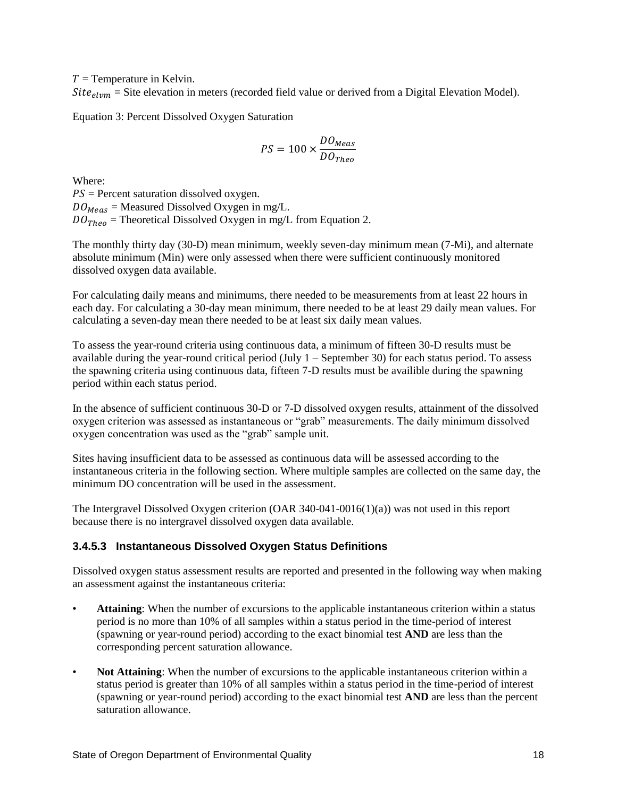$T =$  Temperature in Kelvin.

 $Site_{elvm}$  = Site elevation in meters (recorded field value or derived from a Digital Elevation Model).

Equation 3: Percent Dissolved Oxygen Saturation

$$
PS = 100 \times \frac{DO_{Meas}}{DO_{Theo}}
$$

Where:  $PS =$  Percent saturation dissolved oxygen.  $DO_{Meas}$  = Measured Dissolved Oxygen in mg/L.  $DO<sub>Theo</sub>$  = Theoretical Dissolved Oxygen in mg/L from Equation 2.

The monthly thirty day (30-D) mean minimum, weekly seven-day minimum mean (7-Mi), and alternate absolute minimum (Min) were only assessed when there were sufficient continuously monitored dissolved oxygen data available.

For calculating daily means and minimums, there needed to be measurements from at least 22 hours in each day. For calculating a 30-day mean minimum, there needed to be at least 29 daily mean values. For calculating a seven-day mean there needed to be at least six daily mean values.

To assess the year-round criteria using continuous data, a minimum of fifteen 30-D results must be available during the year-round critical period (July  $1 -$  September 30) for each status period. To assess the spawning criteria using continuous data, fifteen 7-D results must be availible during the spawning period within each status period.

In the absence of sufficient continuous 30-D or 7-D dissolved oxygen results, attainment of the dissolved oxygen criterion was assessed as instantaneous or "grab" measurements. The daily minimum dissolved oxygen concentration was used as the "grab" sample unit.

Sites having insufficient data to be assessed as continuous data will be assessed according to the instantaneous criteria in the following section. Where multiple samples are collected on the same day, the minimum DO concentration will be used in the assessment.

The Intergravel Dissolved Oxygen criterion (OAR 340-041-0016(1)(a)) was not used in this report because there is no intergravel dissolved oxygen data available.

#### **3.4.5.3 Instantaneous Dissolved Oxygen Status Definitions**

Dissolved oxygen status assessment results are reported and presented in the following way when making an assessment against the instantaneous criteria:

- **Attaining**: When the number of excursions to the applicable instantaneous criterion within a status period is no more than 10% of all samples within a status period in the time-period of interest (spawning or year-round period) according to the exact binomial test **AND** are less than the corresponding percent saturation allowance.
- **Not Attaining**: When the number of excursions to the applicable instantaneous criterion within a status period is greater than 10% of all samples within a status period in the time-period of interest (spawning or year-round period) according to the exact binomial test **AND** are less than the percent saturation allowance.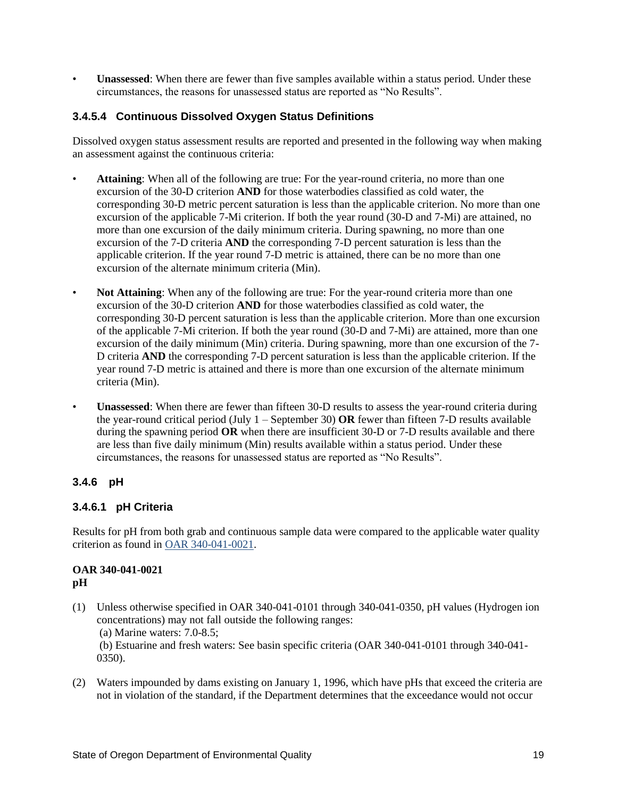• **Unassessed**: When there are fewer than five samples available within a status period. Under these circumstances, the reasons for unassessed status are reported as "No Results".

## **3.4.5.4 Continuous Dissolved Oxygen Status Definitions**

Dissolved oxygen status assessment results are reported and presented in the following way when making an assessment against the continuous criteria:

- **Attaining**: When all of the following are true: For the year-round criteria, no more than one excursion of the 30-D criterion **AND** for those waterbodies classified as cold water, the corresponding 30-D metric percent saturation is less than the applicable criterion. No more than one excursion of the applicable 7-Mi criterion. If both the year round (30-D and 7-Mi) are attained, no more than one excursion of the daily minimum criteria. During spawning, no more than one excursion of the 7-D criteria **AND** the corresponding 7-D percent saturation is less than the applicable criterion. If the year round 7-D metric is attained, there can be no more than one excursion of the alternate minimum criteria (Min).
- **Not Attaining**: When any of the following are true: For the year-round criteria more than one excursion of the 30-D criterion **AND** for those waterbodies classified as cold water, the corresponding 30-D percent saturation is less than the applicable criterion. More than one excursion of the applicable 7-Mi criterion. If both the year round (30-D and 7-Mi) are attained, more than one excursion of the daily minimum (Min) criteria. During spawning, more than one excursion of the 7- D criteria **AND** the corresponding 7-D percent saturation is less than the applicable criterion. If the year round 7-D metric is attained and there is more than one excursion of the alternate minimum criteria (Min).
- **Unassessed**: When there are fewer than fifteen 30-D results to assess the year-round criteria during the year-round critical period (July 1 – September 30) **OR** fewer than fifteen 7-D results available during the spawning period **OR** when there are insufficient 30-D or 7-D results available and there are less than five daily minimum (Min) results available within a status period. Under these circumstances, the reasons for unassessed status are reported as "No Results".

# <span id="page-18-0"></span>**3.4.6 pH**

#### **3.4.6.1 pH Criteria**

Results for pH from both grab and continuous sample data were compared to the applicable water quality criterion as found i[n OAR 340-041-0021.](https://secure.sos.state.or.us/oard/viewSingleRule.action;JSESSIONID_OARD=Q--AbU9sI2gNpiU9aa_3IO93qbFAoGOHlZ2WHGSe8IsE0OGtWMuS!568786841?ruleVrsnRsn=68713)

#### **OAR 340-041-0021 pH**

- (1) Unless otherwise specified in OAR 340-041-0101 through 340-041-0350, pH values (Hydrogen ion concentrations) may not fall outside the following ranges: (a) Marine waters: 7.0-8.5; (b) Estuarine and fresh waters: See basin specific criteria (OAR 340-041-0101 through 340-041- 0350).
- (2) Waters impounded by dams existing on January 1, 1996, which have pHs that exceed the criteria are not in violation of the standard, if the Department determines that the exceedance would not occur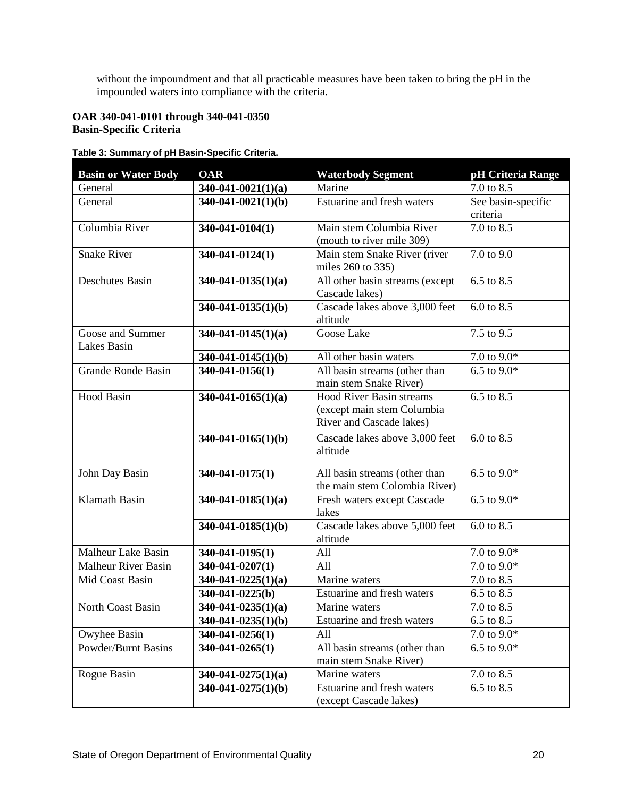without the impoundment and that all practicable measures have been taken to bring the pH in the impounded waters into compliance with the criteria.

#### **OAR 340-041-0101 through 340-041-0350 Basin-Specific Criteria**

## **Table 3: Summary of pH Basin-Specific Criteria.**

| <b>Basin or Water Body</b>                    | OAR                      | <b>Waterbody Segment</b>                          | pH Criteria Range        |
|-----------------------------------------------|--------------------------|---------------------------------------------------|--------------------------|
| General                                       | $340-041-0021(1)(a)$     | Marine                                            | 7.0 to 8.5               |
| General                                       | $340-041-0021(1)(b)$     | Estuarine and fresh waters                        | See basin-specific       |
|                                               |                          |                                                   | criteria                 |
| Columbia River                                | 340-041-0104(1)          | Main stem Columbia River                          | 7.0 to 8.5               |
|                                               |                          | (mouth to river mile 309)                         |                          |
| <b>Snake River</b>                            | 340-041-0124(1)          | Main stem Snake River (river                      | 7.0 to 9.0               |
|                                               |                          | miles 260 to 335)                                 |                          |
| <b>Deschutes Basin</b>                        | $340 - 041 - 0135(1)(a)$ | All other basin streams (except<br>Cascade lakes) | 6.5 to 8.5               |
|                                               | $340-041-0135(1)(b)$     | Cascade lakes above 3,000 feet                    | 6.0 to 8.5               |
|                                               |                          | altitude                                          |                          |
| Goose and Summer<br>Lakes Basin               | $340-041-0145(1)(a)$     | Goose Lake                                        | 7.5 to 9.5               |
|                                               | $340-041-0145(1)(b)$     | All other basin waters                            | 7.0 to 9.0*              |
| Grande Ronde Basin                            | 340-041-0156(1)          | All basin streams (other than                     | 6.5 to $9.0*$            |
|                                               |                          | main stem Snake River)                            |                          |
| <b>Hood Basin</b>                             | $340-041-0165(1)(a)$     | <b>Hood River Basin streams</b>                   | 6.5 to 8.5               |
|                                               |                          | (except main stem Columbia                        |                          |
|                                               |                          | <b>River and Cascade lakes)</b>                   |                          |
|                                               | $340-041-0165(1)(b)$     | Cascade lakes above 3,000 feet                    | 6.0 to 8.5               |
|                                               |                          | altitude                                          |                          |
| John Day Basin                                | 340-041-0175(1)          | All basin streams (other than                     | 6.5 to $9.0*$            |
|                                               |                          | the main stem Colombia River)                     |                          |
| Klamath Basin                                 | $340-041-0185(1)(a)$     | Fresh waters except Cascade                       | 6.5 to $9.0*$            |
|                                               |                          | lakes                                             |                          |
|                                               | $340-041-0185(1)(b)$     | Cascade lakes above 5,000 feet                    | 6.0 to 8.5               |
|                                               |                          | altitude                                          |                          |
| <b>Malheur Lake Basin</b>                     | 340-041-0195(1)          | All                                               | $7.0$ to $9.0\mathrm{*}$ |
| <b>Malheur River Basin</b>                    | 340-041-0207(1)          | All                                               | 7.0 to $9.0*$            |
| Mid Coast Basin                               | $340-041-0225(1)(a)$     | Marine waters                                     | 7.0 to 8.5               |
|                                               | $340-041-0225(b)$        | Estuarine and fresh waters                        | 6.5 to 8.5               |
| North Coast Basin                             | $340-041-0235(1)(a)$     | Marine waters                                     | 7.0 to 8.5               |
|                                               | 340-041-0235(1)(b)       | Estuarine and fresh waters                        | 6.5 to 8.5               |
| Owyhee Basin                                  | 340-041-0256(1)          | All                                               | 7.0 to 9.0*              |
| <b>Powder/Burnt Basins</b><br>340-041-0265(1) |                          | All basin streams (other than                     | 6.5 to $9.0*$            |
|                                               |                          | main stem Snake River)                            |                          |
| Rogue Basin                                   | $340-041-0275(1)(a)$     | Marine waters                                     | 7.0 to 8.5               |
|                                               | $340-041-0275(1)(b)$     | Estuarine and fresh waters                        | 6.5 to 8.5               |
|                                               |                          | (except Cascade lakes)                            |                          |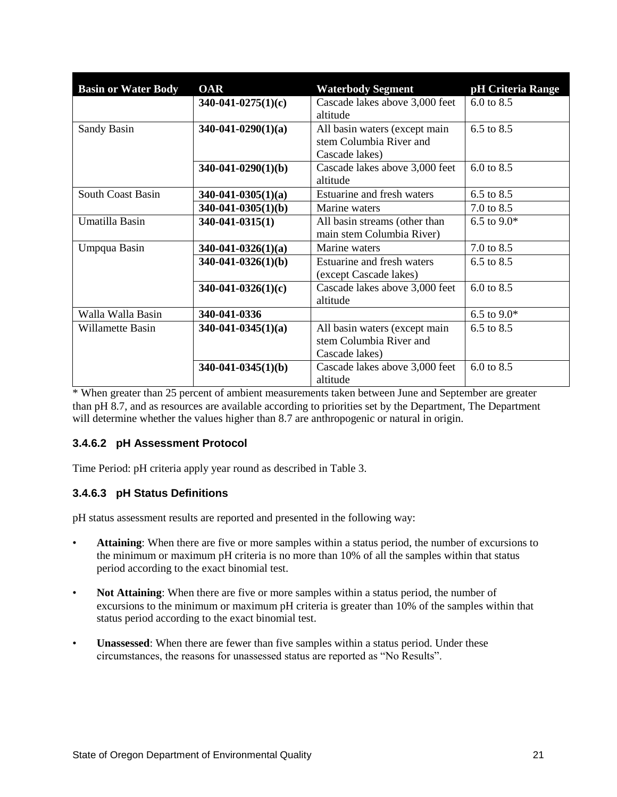| <b>Basin or Water Body</b> | <b>OAR</b>            | <b>Waterbody Segment</b>                                                   | pH Criteria Range     |
|----------------------------|-----------------------|----------------------------------------------------------------------------|-----------------------|
|                            | $340-041-0275(1)(c)$  | Cascade lakes above 3,000 feet<br>altitude                                 | 6.0 to 8.5            |
| Sandy Basin                | $340-041-0290(1)(a)$  | All basin waters (except main<br>stem Columbia River and<br>Cascade lakes) | 6.5 to $8.5$          |
|                            | $340-041-0290(1)(b)$  | Cascade lakes above 3,000 feet<br>altitude                                 | $6.0 \text{ to } 8.5$ |
| <b>South Coast Basin</b>   | $340-041-0305(1)(a)$  | Estuarine and fresh waters                                                 | 6.5 to 8.5            |
|                            | $340-041-0305(1)(b)$  | Marine waters                                                              | 7.0 to 8.5            |
| Umatilla Basin             | $340 - 041 - 0315(1)$ | All basin streams (other than<br>main stem Columbia River)                 | 6.5 to $9.0*$         |
| Umpqua Basin               | $340-041-0326(1)(a)$  | Marine waters                                                              | 7.0 to 8.5            |
|                            | $340-041-0326(1)(b)$  | Estuarine and fresh waters<br>(except Cascade lakes)                       | 6.5 to 8.5            |
|                            | $340-041-0326(1)(c)$  | Cascade lakes above 3,000 feet<br>altitude                                 | $6.0 \text{ to } 8.5$ |
| Walla Walla Basin          | 340-041-0336          |                                                                            | 6.5 to $9.0*$         |
| Willamette Basin           | $340-041-0345(1)(a)$  | All basin waters (except main<br>stem Columbia River and<br>Cascade lakes) | 6.5 to 8.5            |
|                            | $340-041-0345(1)(b)$  | Cascade lakes above 3,000 feet<br>altitude                                 | 6.0 to 8.5            |

\* When greater than 25 percent of ambient measurements taken between June and September are greater than pH 8.7, and as resources are available according to priorities set by the Department, The Department will determine whether the values higher than 8.7 are anthropogenic or natural in origin.

#### **3.4.6.2 pH Assessment Protocol**

Time Period: pH criteria apply year round as described in Table 3.

# **3.4.6.3 pH Status Definitions**

pH status assessment results are reported and presented in the following way:

- **Attaining**: When there are five or more samples within a status period, the number of excursions to the minimum or maximum pH criteria is no more than 10% of all the samples within that status period according to the exact binomial test.
- **Not Attaining**: When there are five or more samples within a status period, the number of excursions to the minimum or maximum pH criteria is greater than 10% of the samples within that status period according to the exact binomial test.
- **Unassessed**: When there are fewer than five samples within a status period. Under these circumstances, the reasons for unassessed status are reported as "No Results".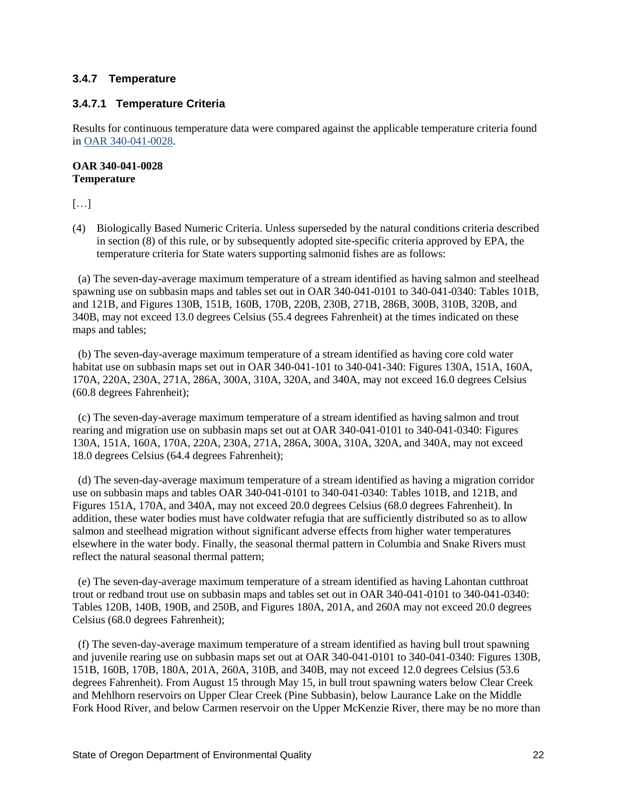#### <span id="page-21-0"></span>**3.4.7 Temperature**

#### **3.4.7.1 Temperature Criteria**

Results for continuous temperature data were compared against the applicable temperature criteria found in [OAR 340-041-0028.](https://secure.sos.state.or.us/oard/viewSingleRule.action;JSESSIONID_OARD=Q--AbU9sI2gNpiU9aa_3IO93qbFAoGOHlZ2WHGSe8IsE0OGtWMuS!568786841?ruleVrsnRsn=244176)

#### **OAR 340-041-0028 Temperature**

 $\left[\ldots\right]$ 

(4) Biologically Based Numeric Criteria. Unless superseded by the natural conditions criteria described in section (8) of this rule, or by subsequently adopted site-specific criteria approved by EPA, the temperature criteria for State waters supporting salmonid fishes are as follows:

 (a) The seven-day-average maximum temperature of a stream identified as having salmon and steelhead spawning use on subbasin maps and tables set out in OAR 340-041-0101 to 340-041-0340: Tables 101B, and 121B, and Figures 130B, 151B, 160B, 170B, 220B, 230B, 271B, 286B, 300B, 310B, 320B, and 340B, may not exceed 13.0 degrees Celsius (55.4 degrees Fahrenheit) at the times indicated on these maps and tables;

 (b) The seven-day-average maximum temperature of a stream identified as having core cold water habitat use on subbasin maps set out in OAR 340-041-101 to 340-041-340: Figures 130A, 151A, 160A, 170A, 220A, 230A, 271A, 286A, 300A, 310A, 320A, and 340A, may not exceed 16.0 degrees Celsius (60.8 degrees Fahrenheit);

 (c) The seven-day-average maximum temperature of a stream identified as having salmon and trout rearing and migration use on subbasin maps set out at OAR 340-041-0101 to 340-041-0340: Figures 130A, 151A, 160A, 170A, 220A, 230A, 271A, 286A, 300A, 310A, 320A, and 340A, may not exceed 18.0 degrees Celsius (64.4 degrees Fahrenheit);

 (d) The seven-day-average maximum temperature of a stream identified as having a migration corridor use on subbasin maps and tables OAR 340-041-0101 to 340-041-0340: Tables 101B, and 121B, and Figures 151A, 170A, and 340A, may not exceed 20.0 degrees Celsius (68.0 degrees Fahrenheit). In addition, these water bodies must have coldwater refugia that are sufficiently distributed so as to allow salmon and steelhead migration without significant adverse effects from higher water temperatures elsewhere in the water body. Finally, the seasonal thermal pattern in Columbia and Snake Rivers must reflect the natural seasonal thermal pattern;

 (e) The seven-day-average maximum temperature of a stream identified as having Lahontan cutthroat trout or redband trout use on subbasin maps and tables set out in OAR 340-041-0101 to 340-041-0340: Tables 120B, 140B, 190B, and 250B, and Figures 180A, 201A, and 260A may not exceed 20.0 degrees Celsius (68.0 degrees Fahrenheit);

 (f) The seven-day-average maximum temperature of a stream identified as having bull trout spawning and juvenile rearing use on subbasin maps set out at OAR 340-041-0101 to 340-041-0340: Figures 130B, 151B, 160B, 170B, 180A, 201A, 260A, 310B, and 340B, may not exceed 12.0 degrees Celsius (53.6 degrees Fahrenheit). From August 15 through May 15, in bull trout spawning waters below Clear Creek and Mehlhorn reservoirs on Upper Clear Creek (Pine Subbasin), below Laurance Lake on the Middle Fork Hood River, and below Carmen reservoir on the Upper McKenzie River, there may be no more than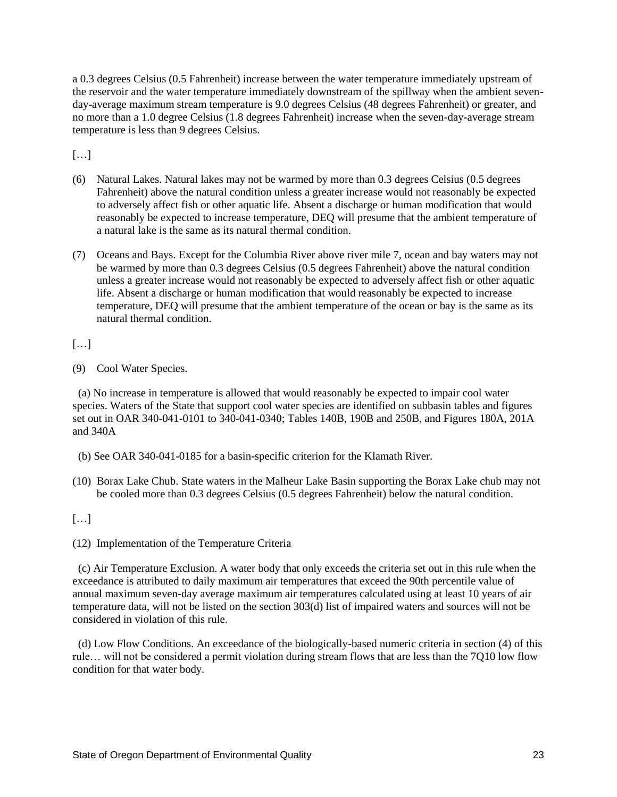a 0.3 degrees Celsius (0.5 Fahrenheit) increase between the water temperature immediately upstream of the reservoir and the water temperature immediately downstream of the spillway when the ambient sevenday-average maximum stream temperature is 9.0 degrees Celsius (48 degrees Fahrenheit) or greater, and no more than a 1.0 degree Celsius (1.8 degrees Fahrenheit) increase when the seven-day-average stream temperature is less than 9 degrees Celsius.

 $[\ldots]$ 

- (6) Natural Lakes. Natural lakes may not be warmed by more than 0.3 degrees Celsius (0.5 degrees Fahrenheit) above the natural condition unless a greater increase would not reasonably be expected to adversely affect fish or other aquatic life. Absent a discharge or human modification that would reasonably be expected to increase temperature, DEQ will presume that the ambient temperature of a natural lake is the same as its natural thermal condition.
- (7) Oceans and Bays. Except for the Columbia River above river mile 7, ocean and bay waters may not be warmed by more than 0.3 degrees Celsius (0.5 degrees Fahrenheit) above the natural condition unless a greater increase would not reasonably be expected to adversely affect fish or other aquatic life. Absent a discharge or human modification that would reasonably be expected to increase temperature, DEQ will presume that the ambient temperature of the ocean or bay is the same as its natural thermal condition.

[…]

(9) Cool Water Species.

 (a) No increase in temperature is allowed that would reasonably be expected to impair cool water species. Waters of the State that support cool water species are identified on subbasin tables and figures set out in OAR 340-041-0101 to 340-041-0340; Tables 140B, 190B and 250B, and Figures 180A, 201A and 340A

- (b) See OAR 340-041-0185 for a basin-specific criterion for the Klamath River.
- (10) Borax Lake Chub. State waters in the Malheur Lake Basin supporting the Borax Lake chub may not be cooled more than 0.3 degrees Celsius (0.5 degrees Fahrenheit) below the natural condition.

 $\left[\ldots\right]$ 

(12) Implementation of the Temperature Criteria

 (c) Air Temperature Exclusion. A water body that only exceeds the criteria set out in this rule when the exceedance is attributed to daily maximum air temperatures that exceed the 90th percentile value of annual maximum seven-day average maximum air temperatures calculated using at least 10 years of air temperature data, will not be listed on the section 303(d) list of impaired waters and sources will not be considered in violation of this rule.

 (d) Low Flow Conditions. An exceedance of the biologically-based numeric criteria in section (4) of this rule… will not be considered a permit violation during stream flows that are less than the 7Q10 low flow condition for that water body.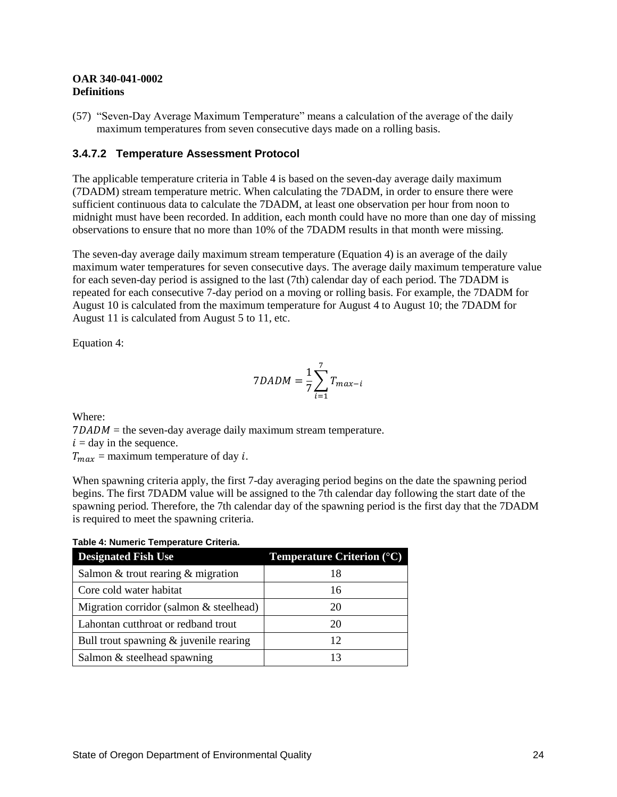#### **OAR 340-041-0002 Definitions**

(57) "Seven-Day Average Maximum Temperature" means a calculation of the average of the daily maximum temperatures from seven consecutive days made on a rolling basis.

#### **3.4.7.2 Temperature Assessment Protocol**

The applicable temperature criteria in Table 4 is based on the seven-day average daily maximum (7DADM) stream temperature metric. When calculating the 7DADM, in order to ensure there were sufficient continuous data to calculate the 7DADM, at least one observation per hour from noon to midnight must have been recorded. In addition, each month could have no more than one day of missing observations to ensure that no more than 10% of the 7DADM results in that month were missing.

The seven-day average daily maximum stream temperature (Equation 4) is an average of the daily maximum water temperatures for seven consecutive days. The average daily maximum temperature value for each seven-day period is assigned to the last (7th) calendar day of each period. The 7DADM is repeated for each consecutive 7-day period on a moving or rolling basis. For example, the 7DADM for August 10 is calculated from the maximum temperature for August 4 to August 10; the 7DADM for August 11 is calculated from August 5 to 11, etc.

Equation 4:

$$
7DADM = \frac{1}{7} \sum_{i=1}^{7} T_{max-i}
$$

Where:  $7DADM$  = the seven-day average daily maximum stream temperature.  $i =$  day in the sequence.  $T_{max}$  = maximum temperature of day *i*.

When spawning criteria apply, the first 7-day averaging period begins on the date the spawning period begins. The first 7DADM value will be assigned to the 7th calendar day following the start date of the spawning period. Therefore, the 7th calendar day of the spawning period is the first day that the 7DADM is required to meet the spawning criteria.

|  | Table 4: Numeric Temperature Criteria. |  |
|--|----------------------------------------|--|
|  |                                        |  |

| <b>Designated Fish Use</b>               | <b>Temperature Criterion <math>(^{\circ}C)</math></b> |
|------------------------------------------|-------------------------------------------------------|
| Salmon & trout rearing $&$ migration     | 18                                                    |
| Core cold water habitat                  | 16                                                    |
| Migration corridor (salmon & steelhead)  | 20                                                    |
| Lahontan cutthroat or redband trout      | 20                                                    |
| Bull trout spawning $&$ juvenile rearing |                                                       |
| Salmon & steelhead spawning              |                                                       |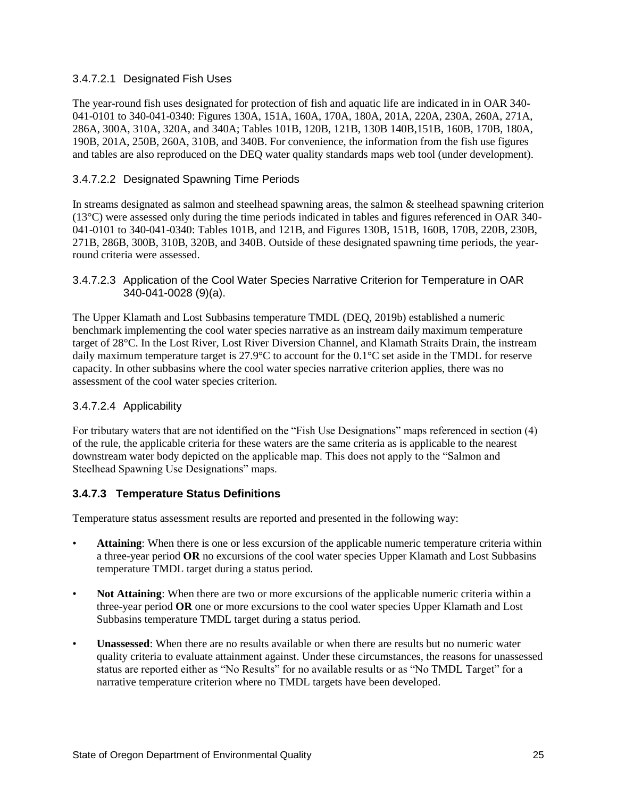#### 3.4.7.2.1 Designated Fish Uses

The year-round fish uses designated for protection of fish and aquatic life are indicated in in OAR 340- 041-0101 to 340-041-0340: Figures 130A, 151A, 160A, 170A, 180A, 201A, 220A, 230A, 260A, 271A, 286A, 300A, 310A, 320A, and 340A; Tables 101B, 120B, 121B, 130B 140B,151B, 160B, 170B, 180A, 190B, 201A, 250B, 260A, 310B, and 340B. For convenience, the information from the fish use figures and tables are also reproduced on the DEQ water quality standards maps web tool (under development).

#### 3.4.7.2.2 Designated Spawning Time Periods

In streams designated as salmon and steelhead spawning areas, the salmon & steelhead spawning criterion (13°C) were assessed only during the time periods indicated in tables and figures referenced in OAR 340- 041-0101 to 340-041-0340: Tables 101B, and 121B, and Figures 130B, 151B, 160B, 170B, 220B, 230B, 271B, 286B, 300B, 310B, 320B, and 340B. Outside of these designated spawning time periods, the yearround criteria were assessed.

The Upper Klamath and Lost Subbasins temperature TMDL (DEQ, 2019b) established a numeric benchmark implementing the cool water species narrative as an instream daily maximum temperature target of 28°C. In the Lost River, Lost River Diversion Channel, and Klamath Straits Drain, the instream daily maximum temperature target is 27.9°C to account for the 0.1°C set aside in the TMDL for reserve capacity. In other subbasins where the cool water species narrative criterion applies, there was no assessment of the cool water species criterion.

#### 3.4.7.2.4 Applicability

For tributary waters that are not identified on the "Fish Use Designations" maps referenced in section (4) of the rule, the applicable criteria for these waters are the same criteria as is applicable to the nearest downstream water body depicted on the applicable map. This does not apply to the "Salmon and Steelhead Spawning Use Designations" maps.

#### **3.4.7.3 Temperature Status Definitions**

Temperature status assessment results are reported and presented in the following way:

- **Attaining**: When there is one or less excursion of the applicable numeric temperature criteria within a three-year period **OR** no excursions of the cool water species Upper Klamath and Lost Subbasins temperature TMDL target during a status period.
- **Not Attaining**: When there are two or more excursions of the applicable numeric criteria within a three-year period **OR** one or more excursions to the cool water species Upper Klamath and Lost Subbasins temperature TMDL target during a status period.
- **Unassessed**: When there are no results available or when there are results but no numeric water quality criteria to evaluate attainment against. Under these circumstances, the reasons for unassessed status are reported either as "No Results" for no available results or as "No TMDL Target" for a narrative temperature criterion where no TMDL targets have been developed.

<sup>3.4.7.2.3</sup> Application of the Cool Water Species Narrative Criterion for Temperature in OAR 340-041-0028 (9)(a).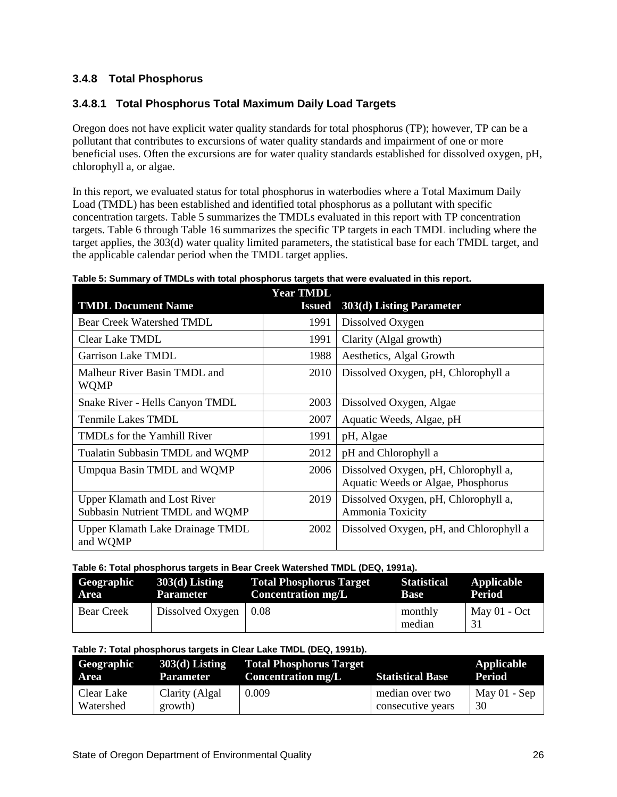# <span id="page-25-0"></span>**3.4.8 Total Phosphorus**

# **3.4.8.1 Total Phosphorus Total Maximum Daily Load Targets**

Oregon does not have explicit water quality standards for total phosphorus (TP); however, TP can be a pollutant that contributes to excursions of water quality standards and impairment of one or more beneficial uses. Often the excursions are for water quality standards established for dissolved oxygen, pH, chlorophyll a, or algae.

In this report, we evaluated status for total phosphorus in waterbodies where a Total Maximum Daily Load (TMDL) has been established and identified total phosphorus as a pollutant with specific concentration targets. Table 5 summarizes the TMDLs evaluated in this report with TP concentration targets. Table 6 through Table 16 summarizes the specific TP targets in each TMDL including where the target applies, the 303(d) water quality limited parameters, the statistical base for each TMDL target, and the applicable calendar period when the TMDL target applies.

| <b>TMDL Document Name</b>                                              | <b>Year TMDL</b><br><b>Issued</b> | 303(d) Listing Parameter                                                   |
|------------------------------------------------------------------------|-----------------------------------|----------------------------------------------------------------------------|
| <b>Bear Creek Watershed TMDL</b>                                       | 1991                              | Dissolved Oxygen                                                           |
| Clear Lake TMDL                                                        | 1991                              | Clarity (Algal growth)                                                     |
| <b>Garrison Lake TMDL</b>                                              | 1988                              | Aesthetics, Algal Growth                                                   |
| Malheur River Basin TMDL and<br><b>WQMP</b>                            | 2010                              | Dissolved Oxygen, pH, Chlorophyll a                                        |
| Snake River - Hells Canyon TMDL                                        | 2003                              | Dissolved Oxygen, Algae                                                    |
| Tenmile Lakes TMDL                                                     | 2007                              | Aquatic Weeds, Algae, pH                                                   |
| TMDLs for the Yamhill River                                            | 1991                              | pH, Algae                                                                  |
| Tualatin Subbasin TMDL and WQMP                                        | 2012                              | pH and Chlorophyll a                                                       |
| Umpqua Basin TMDL and WQMP                                             | 2006                              | Dissolved Oxygen, pH, Chlorophyll a,<br>Aquatic Weeds or Algae, Phosphorus |
| <b>Upper Klamath and Lost River</b><br>Subbasin Nutrient TMDL and WQMP | 2019                              | Dissolved Oxygen, pH, Chlorophyll a,<br>Ammonia Toxicity                   |
| Upper Klamath Lake Drainage TMDL<br>and WQMP                           | 2002                              | Dissolved Oxygen, pH, and Chlorophyll a                                    |

#### **Table 5: Summary of TMDLs with total phosphorus targets that were evaluated in this report.**

#### **Table 6: Total phosphorus targets in Bear Creek Watershed TMDL (DEQ, 1991a).**

| Geographic        | $303(d)$ Listing              | <b>Total Phosphorus Target</b> | <b>Statistical</b> | Applicable     |
|-------------------|-------------------------------|--------------------------------|--------------------|----------------|
| Area              | Parameter                     | <b>Concentration mg/L</b>      | <b>Base</b>        | Period         |
| <b>Bear Creek</b> | Dissolved Oxygen $\vert$ 0.08 |                                | monthly<br>median  | $Max 01 - Oct$ |

#### **Table 7: Total phosphorus targets in Clear Lake TMDL (DEQ, 1991b).**

| Geographic | $303(d)$ Listing | <b>Total Phosphorus Target</b> | <b>Statistical Base</b> | Applicable     |
|------------|------------------|--------------------------------|-------------------------|----------------|
| Area       | Parameter        | <b>Concentration mg/L</b>      |                         | Period         |
| Clear Lake | Clarity (Algal   | 0.009                          | median over two         | May $01 -$ Sep |
| Watershed  | growth)          |                                | consecutive years       | 30             |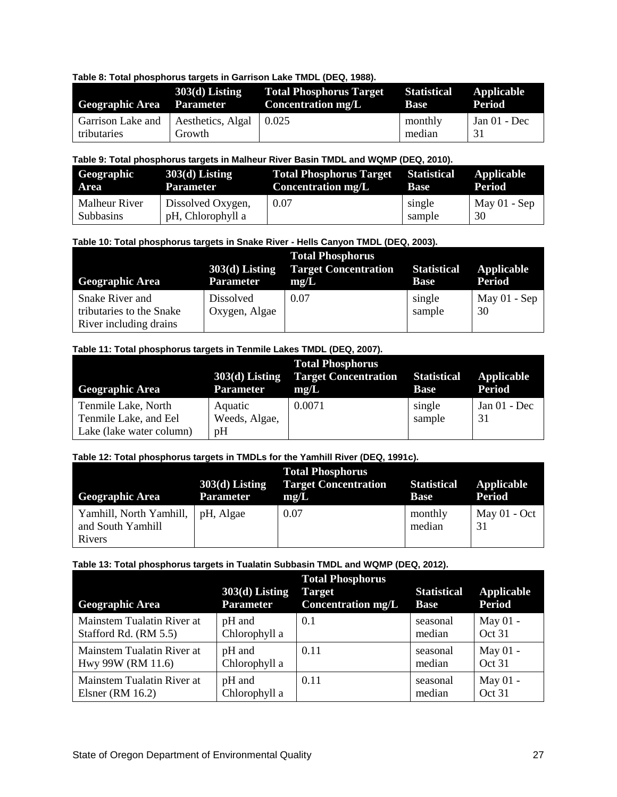#### **Table 8: Total phosphorus targets in Garrison Lake TMDL (DEQ, 1988).**

| <b>Geographic Area</b> Parameter                     | $303(d)$ Listing | <b>Total Phosphorus Target Statistical</b><br><b>Concentration mg/L</b> | Base              | Applicable<br>Period |
|------------------------------------------------------|------------------|-------------------------------------------------------------------------|-------------------|----------------------|
| Garrison Lake and   Aesthetics, Algal<br>tributaries | Growth           | 0.025                                                                   | monthly<br>median | Jan $01$ - Dec<br>31 |

#### **Table 9: Total phosphorus targets in Malheur River Basin TMDL and WQMP (DEQ, 2010).**

| Geographic    | $303(d)$ Listing  | <b>Total Phosphorus Target Statistical</b> | <b>Base</b> | Applicable     |
|---------------|-------------------|--------------------------------------------|-------------|----------------|
| Area          | Parameter         | <b>Concentration mg/L</b>                  |             | Period         |
| Malheur River | Dissolved Oxygen, | 0.07                                       | single      | May $01 -$ Sep |
| Subbasins     | pH, Chlorophyll a |                                            | sample      | 30             |

#### **Table 10: Total phosphorus targets in Snake River - Hells Canyon TMDL (DEQ, 2003).**

| <b>Geographic Area</b>                                                | $303(d)$ Listing<br><b>Parameter</b> | <b>Total Phosphorus</b><br><b>Target Concentration</b><br>mg/L | <b>Statistical Applicable</b><br><b>Base</b> | <b>Period</b>        |
|-----------------------------------------------------------------------|--------------------------------------|----------------------------------------------------------------|----------------------------------------------|----------------------|
| Snake River and<br>tributaries to the Snake<br>River including drains | <b>Dissolved</b><br>Oxygen, Algae    | 0.07                                                           | single<br>sample                             | May $01 -$ Sep<br>30 |

#### **Table 11: Total phosphorus targets in Tenmile Lakes TMDL (DEQ, 2007).**

| <b>Geographic Area</b>                       | $303(d)$ Listing<br><b>Parameter</b> | <b>Total Phosphorus</b><br><b>Target Concentration Statistical</b><br>mg/L | <b>Base</b> | Applicable<br><b>Period</b> |
|----------------------------------------------|--------------------------------------|----------------------------------------------------------------------------|-------------|-----------------------------|
| Tenmile Lake, North<br>Tenmile Lake, and Eel | Aquatic                              | 0.0071                                                                     | single      | Jan $01$ - Dec<br>31        |
| Lake (lake water column)                     | Weeds, Algae,<br>pH                  |                                                                            | sample      |                             |

#### **Table 12: Total phosphorus targets in TMDLs for the Yamhill River (DEQ, 1991c).**

| <b>Geographic Area</b>                                             | $303(d)$ Listing<br><b>Parameter</b> | <b>Total Phosphorus</b><br><b>Target Concentration</b><br>mg/L | <b>Statistical</b><br><b>Base</b> | Applicable<br><b>Period</b> |
|--------------------------------------------------------------------|--------------------------------------|----------------------------------------------------------------|-----------------------------------|-----------------------------|
| Yamhill, North Yamhill,   pH, Algae<br>and South Yamhill<br>Rivers |                                      | 0.07                                                           | monthly<br>median                 | May $01 - Oct$              |

#### **Table 13: Total phosphorus targets in Tualatin Subbasin TMDL and WQMP (DEQ, 2012).**

| <b>Geographic Area</b>     | $303(d)$ Listing<br><b>Parameter</b> | <b>Total Phosphorus</b><br><b>Target</b><br><b>Concentration mg/L</b> | <b>Statistical</b><br><b>Base</b> | Applicable<br><b>Period</b> |
|----------------------------|--------------------------------------|-----------------------------------------------------------------------|-----------------------------------|-----------------------------|
| Mainstem Tualatin River at | pH and                               | 0.1                                                                   | seasonal                          | May 01 -                    |
| Stafford Rd. (RM 5.5)      | Chlorophyll a                        |                                                                       | median                            | Oct 31                      |
| Mainstem Tualatin River at | pH and                               | 0.11                                                                  | seasonal                          | May 01 -                    |
| Hwy 99W (RM 11.6)          | Chlorophyll a                        |                                                                       | median                            | Oct 31                      |
| Mainstem Tualatin River at | pH and                               | 0.11                                                                  | seasonal                          | May 01 -                    |
| Elsner (RM $16.2$ )        | Chlorophyll a                        |                                                                       | median                            | Oct 31                      |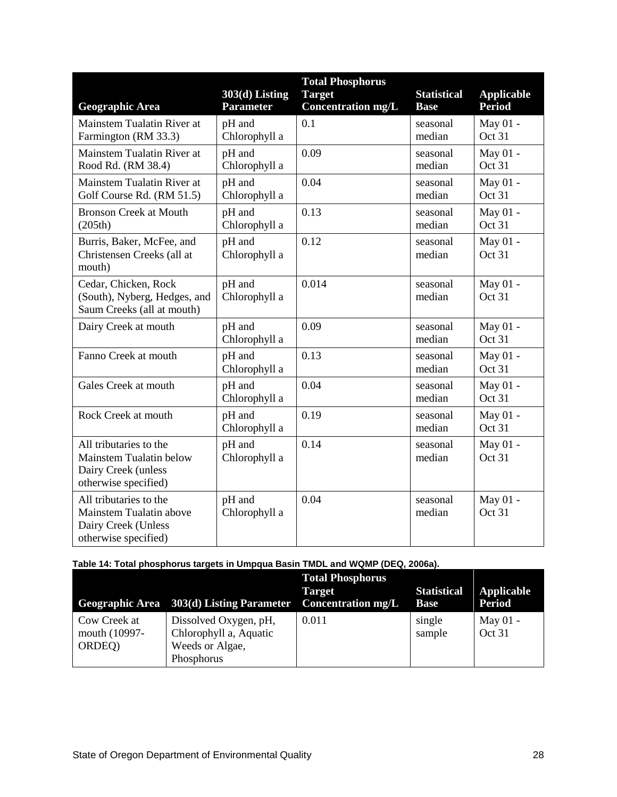| <b>Geographic Area</b>                                                                           | $303(d)$ Listing<br><b>Parameter</b> | <b>Total Phosphorus</b><br><b>Target</b><br><b>Concentration mg/L</b> | <b>Statistical</b><br><b>Base</b> | <b>Applicable</b><br><b>Period</b> |
|--------------------------------------------------------------------------------------------------|--------------------------------------|-----------------------------------------------------------------------|-----------------------------------|------------------------------------|
| Mainstem Tualatin River at<br>Farmington (RM 33.3)                                               | pH and<br>Chlorophyll a              | 0.1                                                                   | seasonal<br>median                | May 01 -<br>Oct 31                 |
| Mainstem Tualatin River at<br>Rood Rd. (RM 38.4)                                                 | pH and<br>Chlorophyll a              | 0.09                                                                  | seasonal<br>median                | May 01 -<br>Oct 31                 |
| Mainstem Tualatin River at<br>Golf Course Rd. (RM 51.5)                                          | pH and<br>Chlorophyll a              | 0.04                                                                  | seasonal<br>median                | May 01 -<br>Oct 31                 |
| <b>Bronson Creek at Mouth</b><br>(205th)                                                         | pH and<br>Chlorophyll a              | 0.13                                                                  | seasonal<br>median                | May 01 -<br>Oct 31                 |
| Burris, Baker, McFee, and<br>Christensen Creeks (all at<br>mouth)                                | pH and<br>Chlorophyll a              | 0.12                                                                  | seasonal<br>median                | May 01 -<br>Oct 31                 |
| Cedar, Chicken, Rock<br>(South), Nyberg, Hedges, and<br>Saum Creeks (all at mouth)               | pH and<br>Chlorophyll a              | 0.014                                                                 | seasonal<br>median                | May 01 -<br>Oct 31                 |
| Dairy Creek at mouth                                                                             | pH and<br>Chlorophyll a              | 0.09                                                                  | seasonal<br>median                | May 01 -<br>Oct 31                 |
| Fanno Creek at mouth                                                                             | pH and<br>Chlorophyll a              | 0.13                                                                  | seasonal<br>median                | May 01 -<br>Oct 31                 |
| Gales Creek at mouth                                                                             | pH and<br>Chlorophyll a              | 0.04                                                                  | seasonal<br>median                | May 01 -<br>Oct 31                 |
| Rock Creek at mouth                                                                              | pH and<br>Chlorophyll a              | 0.19                                                                  | seasonal<br>median                | May 01 -<br>Oct 31                 |
| All tributaries to the<br>Mainstem Tualatin below<br>Dairy Creek (unless<br>otherwise specified) | pH and<br>Chlorophyll a              | 0.14                                                                  | seasonal<br>median                | May 01 -<br>Oct 31                 |
| All tributaries to the<br>Mainstem Tualatin above<br>Dairy Creek (Unless<br>otherwise specified) | pH and<br>Chlorophyll a              | 0.04                                                                  | seasonal<br>median                | May 01 -<br>Oct 31                 |

# **Table 14: Total phosphorus targets in Umpqua Basin TMDL and WQMP (DEQ, 2006a).**

|                                         | Geographic Area $303\overline{d}$ Listing Parameter                              | <b>Total Phosphorus</b><br>Target<br><b>Concentration mg/L</b> | <b>Statistical</b><br><b>Base</b> | Applicable<br><b>Period</b> |
|-----------------------------------------|----------------------------------------------------------------------------------|----------------------------------------------------------------|-----------------------------------|-----------------------------|
| Cow Creek at<br>mouth (10997-<br>ORDEQ) | Dissolved Oxygen, pH,<br>Chlorophyll a, Aquatic<br>Weeds or Algae,<br>Phosphorus | 0.011                                                          | single<br>sample                  | May $01 -$<br>Oct 31        |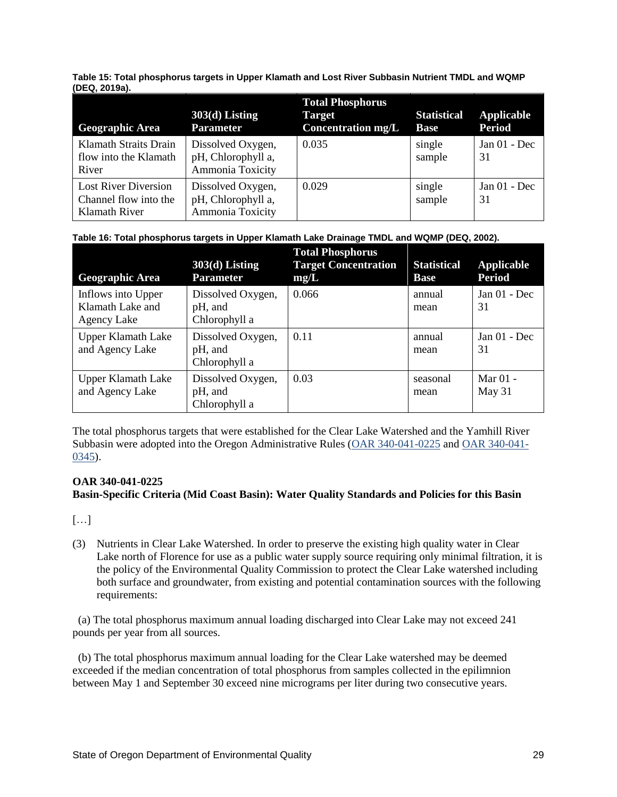**Table 15: Total phosphorus targets in Upper Klamath and Lost River Subbasin Nutrient TMDL and WQMP (DEQ, 2019a).**

| <b>Geographic Area</b>                                                | $303(d)$ Listing<br><b>Parameter</b>                        | <b>Total Phosphorus</b><br>Target<br><b>Concentration mg/L</b> | <b>Statistical</b><br><b>Base</b> | Applicable<br><b>Period</b> |
|-----------------------------------------------------------------------|-------------------------------------------------------------|----------------------------------------------------------------|-----------------------------------|-----------------------------|
| <b>Klamath Straits Drain</b><br>flow into the Klamath<br>River        | Dissolved Oxygen,<br>pH, Chlorophyll a,<br>Ammonia Toxicity | 0.035                                                          | single<br>sample                  | Jan $01$ - Dec<br>31        |
| <b>Lost River Diversion</b><br>Channel flow into the<br>Klamath River | Dissolved Oxygen,<br>pH, Chlorophyll a,<br>Ammonia Toxicity | 0.029                                                          | single<br>sample                  | Jan $01$ - Dec<br>31        |

#### **Table 16: Total phosphorus targets in Upper Klamath Lake Drainage TMDL and WQMP (DEQ, 2002).**

| <b>Geographic Area</b>                                       | $303(d)$ Listing<br><b>Parameter</b>          | <b>Total Phosphorus</b><br><b>Target Concentration</b><br>mg/L | <b>Statistical</b><br><b>Base</b> | <b>Applicable</b><br><b>Period</b> |
|--------------------------------------------------------------|-----------------------------------------------|----------------------------------------------------------------|-----------------------------------|------------------------------------|
| Inflows into Upper<br>Klamath Lake and<br><b>Agency Lake</b> | Dissolved Oxygen,<br>pH, and<br>Chlorophyll a | 0.066                                                          | annual<br>mean                    | Jan $01$ - Dec<br>31               |
| <b>Upper Klamath Lake</b><br>and Agency Lake                 | Dissolved Oxygen,<br>pH, and<br>Chlorophyll a | 0.11                                                           | annual<br>mean                    | Jan $01$ - Dec<br>31               |
| <b>Upper Klamath Lake</b><br>and Agency Lake                 | Dissolved Oxygen,<br>pH, and<br>Chlorophyll a | 0.03                                                           | seasonal<br>mean                  | Mar $01 -$<br>May 31               |

The total phosphorus targets that were established for the Clear Lake Watershed and the Yamhill River Subbasin were adopted into the Oregon Administrative Rules [\(OAR 340-041-0225](https://secure.sos.state.or.us/oard/viewSingleRule.action?ruleVrsnRsn=267395) and [OAR 340-041-](https://oregon.public.law/rules/oar_340-041-0225) [0345\)](https://oregon.public.law/rules/oar_340-041-0225).

#### **OAR 340-041-0225**

#### **Basin-Specific Criteria (Mid Coast Basin): Water Quality Standards and Policies for this Basin**

[…]

(3) Nutrients in Clear Lake Watershed. In order to preserve the existing high quality water in Clear Lake north of Florence for use as a public water supply source requiring only minimal filtration, it is the policy of the Environmental Quality Commission to protect the Clear Lake watershed including both surface and groundwater, from existing and potential contamination sources with the following requirements:

 (a) The total phosphorus maximum annual loading discharged into Clear Lake may not exceed 241 pounds per year from all sources.

 (b) The total phosphorus maximum annual loading for the Clear Lake watershed may be deemed exceeded if the median concentration of total phosphorus from samples collected in the epilimnion between May 1 and September 30 exceed nine micrograms per liter during two consecutive years.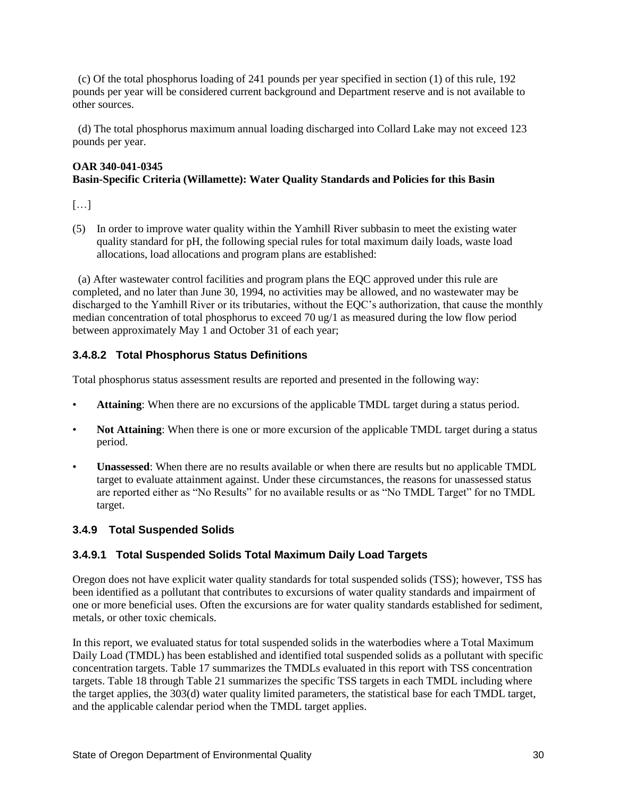(c) Of the total phosphorus loading of 241 pounds per year specified in section (1) of this rule, 192 pounds per year will be considered current background and Department reserve and is not available to other sources.

 (d) The total phosphorus maximum annual loading discharged into Collard Lake may not exceed 123 pounds per year.

## **OAR 340-041-0345 Basin-Specific Criteria (Willamette): Water Quality Standards and Policies for this Basin**

 $[\dots]$ 

(5) In order to improve water quality within the Yamhill River subbasin to meet the existing water quality standard for pH, the following special rules for total maximum daily loads, waste load allocations, load allocations and program plans are established:

 (a) After wastewater control facilities and program plans the EQC approved under this rule are completed, and no later than June 30, 1994, no activities may be allowed, and no wastewater may be discharged to the Yamhill River or its tributaries, without the EQC's authorization, that cause the monthly median concentration of total phosphorus to exceed 70 ug/1 as measured during the low flow period between approximately May 1 and October 31 of each year;

# **3.4.8.2 Total Phosphorus Status Definitions**

Total phosphorus status assessment results are reported and presented in the following way:

- **Attaining**: When there are no excursions of the applicable TMDL target during a status period.
- **Not Attaining**: When there is one or more excursion of the applicable TMDL target during a status period.
- **Unassessed**: When there are no results available or when there are results but no applicable TMDL target to evaluate attainment against. Under these circumstances, the reasons for unassessed status are reported either as "No Results" for no available results or as "No TMDL Target" for no TMDL target.

#### <span id="page-29-0"></span>**3.4.9 Total Suspended Solids**

# **3.4.9.1 Total Suspended Solids Total Maximum Daily Load Targets**

Oregon does not have explicit water quality standards for total suspended solids (TSS); however, TSS has been identified as a pollutant that contributes to excursions of water quality standards and impairment of one or more beneficial uses. Often the excursions are for water quality standards established for sediment, metals, or other toxic chemicals.

In this report, we evaluated status for total suspended solids in the waterbodies where a Total Maximum Daily Load (TMDL) has been established and identified total suspended solids as a pollutant with specific concentration targets. Table 17 summarizes the TMDLs evaluated in this report with TSS concentration targets. Table 18 through Table 21 summarizes the specific TSS targets in each TMDL including where the target applies, the 303(d) water quality limited parameters, the statistical base for each TMDL target, and the applicable calendar period when the TMDL target applies.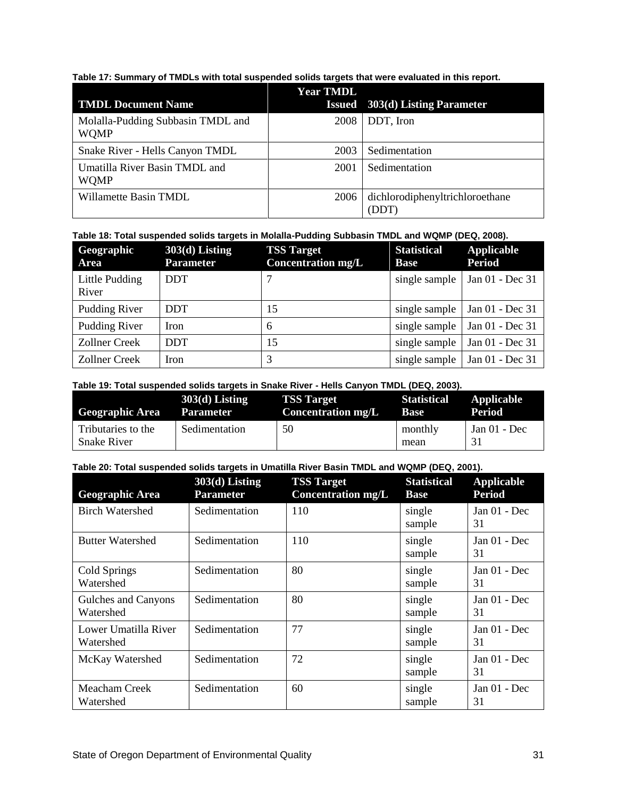**Table 17: Summary of TMDLs with total suspended solids targets that were evaluated in this report.**

|                                                  | <b>Year TMDL</b> |                                        |
|--------------------------------------------------|------------------|----------------------------------------|
| <b>TMDL Document Name</b>                        |                  | <b>Issued</b> 303(d) Listing Parameter |
| Molalla-Pudding Subbasin TMDL and<br><b>WOMP</b> | <b>2008</b>      | DDT, Iron                              |
| Snake River - Hells Canyon TMDL                  | 2003             | Sedimentation                          |
| Umatilla River Basin TMDL and<br><b>WOMP</b>     | 2001             | Sedimentation                          |
| Willamette Basin TMDL                            | 2006             | dichlorodiphenyltrichloroethane        |

### **Table 18: Total suspended solids targets in Molalla-Pudding Subbasin TMDL and WQMP (DEQ, 2008).**

| Geographic<br>Area      | $303(d)$ Listing<br><b>Parameter</b> | <b>TSS Target</b><br><b>Concentration mg/L</b> | <b>Statistical</b><br><b>Base</b> | Applicable<br><b>Period</b> |
|-------------------------|--------------------------------------|------------------------------------------------|-----------------------------------|-----------------------------|
| Little Pudding<br>River | <b>DDT</b>                           |                                                | single sample                     | Jan 01 - Dec 31             |
| Pudding River           | <b>DDT</b>                           | 15                                             | single sample                     | Jan 01 - Dec 31             |
| Pudding River           | Iron                                 | 6                                              | single sample                     | Jan 01 - Dec 31             |
| <b>Zollner Creek</b>    | <b>DDT</b>                           | 15                                             | single sample                     | Jan 01 - Dec 31             |
| Zollner Creek           | Iron                                 | 3                                              | single sample                     | Jan 01 - Dec 31             |

#### **Table 19: Total suspended solids targets in Snake River - Hells Canyon TMDL (DEQ, 2003).**

| <b>Geographic Area</b>                   | $303(d)$ Listing | <b>TSS Target</b>  | <b>Statistical</b> | Applicable     |
|------------------------------------------|------------------|--------------------|--------------------|----------------|
|                                          | <b>Parameter</b> | Concentration mg/L | Base               | Period         |
| Tributaries to the<br><b>Snake River</b> | Sedimentation    | 50                 | monthly<br>mean    | Jan $01$ - Dec |

**Table 20: Total suspended solids targets in Umatilla River Basin TMDL and WQMP (DEQ, 2001).**

| <b>Geographic Area</b>            | $303(d)$ Listing<br><b>Parameter</b> | <b>TSS Target</b><br><b>Concentration mg/L</b> | <b>Statistical</b><br><b>Base</b> | <b>Applicable</b><br><b>Period</b> |
|-----------------------------------|--------------------------------------|------------------------------------------------|-----------------------------------|------------------------------------|
| <b>Birch Watershed</b>            | Sedimentation                        | 110                                            | single<br>sample                  | Jan 01 - Dec<br>31                 |
| <b>Butter Watershed</b>           | Sedimentation                        | 110                                            | single<br>sample                  | Jan $01$ - Dec<br>31               |
| Cold Springs<br>Watershed         | Sedimentation                        | 80                                             | single<br>sample                  | Jan 01 - Dec<br>31                 |
| Gulches and Canyons<br>Watershed  | Sedimentation                        | 80                                             | single<br>sample                  | Jan $01$ - Dec<br>31               |
| Lower Umatilla River<br>Watershed | Sedimentation                        | 77                                             | single<br>sample                  | Jan $01$ - Dec<br>31               |
| McKay Watershed                   | Sedimentation                        | 72                                             | single<br>sample                  | Jan $01$ - Dec<br>31               |
| Meacham Creek<br>Watershed        | Sedimentation                        | 60                                             | single<br>sample                  | Jan 01 - Dec<br>31                 |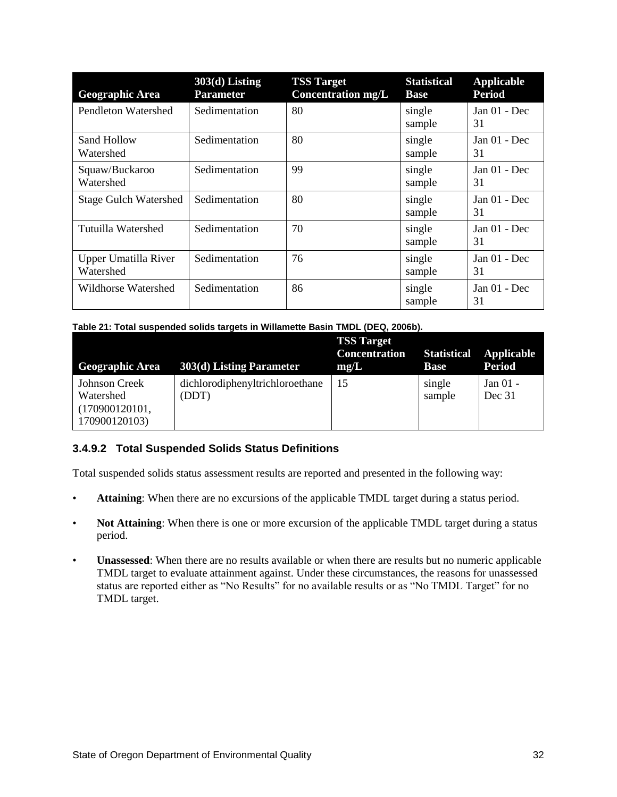| <b>Geographic Area</b>            | $303(d)$ Listing<br><b>Parameter</b> | <b>TSS Target</b><br><b>Concentration mg/L</b> | <b>Statistical</b><br><b>Base</b> | <b>Applicable</b><br><b>Period</b> |
|-----------------------------------|--------------------------------------|------------------------------------------------|-----------------------------------|------------------------------------|
| Pendleton Watershed               | Sedimentation                        | 80                                             | single<br>sample                  | Jan $01$ - Dec<br>31               |
| Sand Hollow<br>Watershed          | Sedimentation                        | 80                                             | single<br>sample                  | Jan $01$ - Dec<br>31               |
| Squaw/Buckaroo<br>Watershed       | Sedimentation                        | 99                                             | single<br>sample                  | Jan 01 - Dec<br>31                 |
| <b>Stage Gulch Watershed</b>      | Sedimentation                        | 80                                             | single<br>sample                  | Jan $01$ - Dec<br>31               |
| Tutuilla Watershed                | Sedimentation                        | 70                                             | single<br>sample                  | Jan $01$ - Dec<br>31               |
| Upper Umatilla River<br>Watershed | Sedimentation                        | 76                                             | single<br>sample                  | Jan $01$ - Dec<br>31               |
| Wildhorse Watershed               | Sedimentation                        | 86                                             | single<br>sample                  | Jan $01$ - Dec<br>31               |

| Table 21: Total suspended solids targets in Willamette Basin TMDL (DEQ, 2006b). |  |  |  |
|---------------------------------------------------------------------------------|--|--|--|
|                                                                                 |  |  |  |

| <b>Geographic Area</b>                                        | 303(d) Listing Parameter                 | <b>TSS Target</b><br><b>Concentration</b><br>mg/L | <b>Statistical</b><br><b>Base</b> | <b>Applicable</b><br><b>Period</b> |
|---------------------------------------------------------------|------------------------------------------|---------------------------------------------------|-----------------------------------|------------------------------------|
| Johnson Creek<br>Watershed<br>(170900120101,<br>170900120103) | dichlorodiphenyltrichloroethane<br>(DDT) | 15                                                | single<br>sample                  | Jan $01 -$<br>Dec 31               |

# **3.4.9.2 Total Suspended Solids Status Definitions**

Total suspended solids status assessment results are reported and presented in the following way:

- Attaining: When there are no excursions of the applicable TMDL target during a status period.
- **Not Attaining**: When there is one or more excursion of the applicable TMDL target during a status period.
- **Unassessed**: When there are no results available or when there are results but no numeric applicable TMDL target to evaluate attainment against. Under these circumstances, the reasons for unassessed status are reported either as "No Results" for no available results or as "No TMDL Target" for no TMDL target.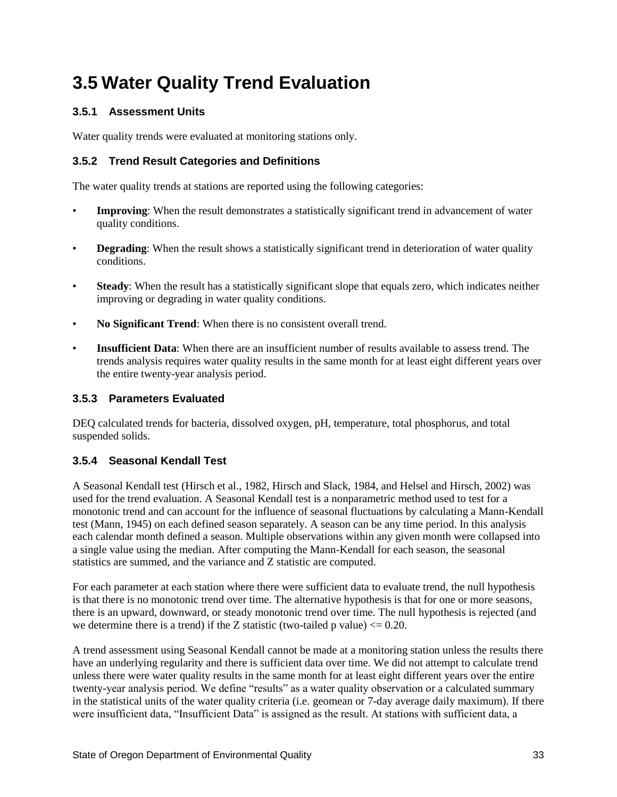# <span id="page-32-0"></span>**3.5 Water Quality Trend Evaluation**

## <span id="page-32-1"></span>**3.5.1 Assessment Units**

Water quality trends were evaluated at monitoring stations only.

## <span id="page-32-2"></span>**3.5.2 Trend Result Categories and Definitions**

The water quality trends at stations are reported using the following categories:

- **Improving**: When the result demonstrates a statistically significant trend in advancement of water quality conditions.
- **Degrading**: When the result shows a statistically significant trend in deterioration of water quality conditions.
- **Steady:** When the result has a statistically significant slope that equals zero, which indicates neither improving or degrading in water quality conditions.
- **No Significant Trend**: When there is no consistent overall trend.
- **Insufficient Data**: When there are an insufficient number of results available to assess trend. The trends analysis requires water quality results in the same month for at least eight different years over the entire twenty-year analysis period.

### <span id="page-32-3"></span>**3.5.3 Parameters Evaluated**

DEQ calculated trends for bacteria, dissolved oxygen, pH, temperature, total phosphorus, and total suspended solids.

#### <span id="page-32-4"></span>**3.5.4 Seasonal Kendall Test**

A Seasonal Kendall test (Hirsch et al., 1982, Hirsch and Slack, 1984, and Helsel and Hirsch, 2002) was used for the trend evaluation. A Seasonal Kendall test is a nonparametric method used to test for a monotonic trend and can account for the influence of seasonal fluctuations by calculating a Mann-Kendall test (Mann, 1945) on each defined season separately. A season can be any time period. In this analysis each calendar month defined a season. Multiple observations within any given month were collapsed into a single value using the median. After computing the Mann-Kendall for each season, the seasonal statistics are summed, and the variance and Z statistic are computed.

For each parameter at each station where there were sufficient data to evaluate trend, the null hypothesis is that there is no monotonic trend over time. The alternative hypothesis is that for one or more seasons, there is an upward, downward, or steady monotonic trend over time. The null hypothesis is rejected (and we determine there is a trend) if the Z statistic (two-tailed p value)  $\leq 0.20$ .

A trend assessment using Seasonal Kendall cannot be made at a monitoring station unless the results there have an underlying regularity and there is sufficient data over time. We did not attempt to calculate trend unless there were water quality results in the same month for at least eight different years over the entire twenty-year analysis period. We define "results" as a water quality observation or a calculated summary in the statistical units of the water quality criteria (i.e. geomean or 7-day average daily maximum). If there were insufficient data, "Insufficient Data" is assigned as the result. At stations with sufficient data, a